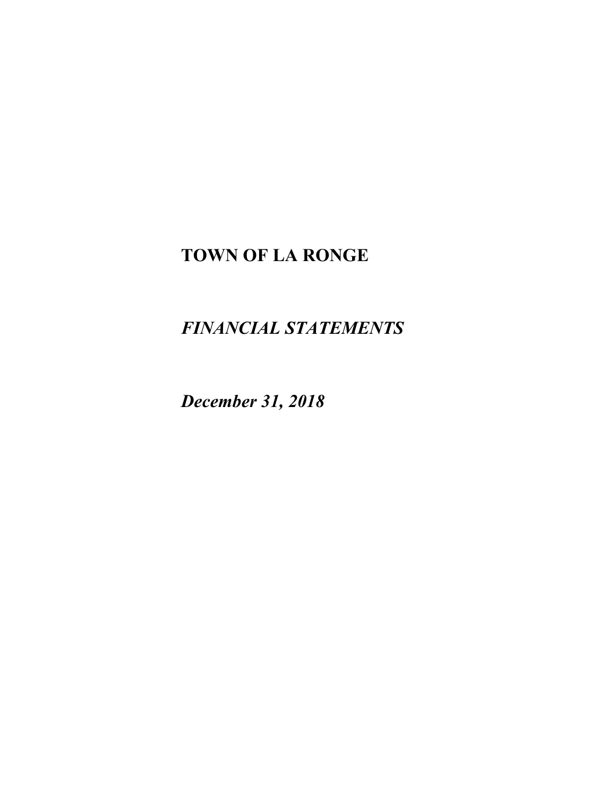# **TOWN OF LA RONGE**

# *FINANCIAL STATEMENTS*

*December 31, 2018*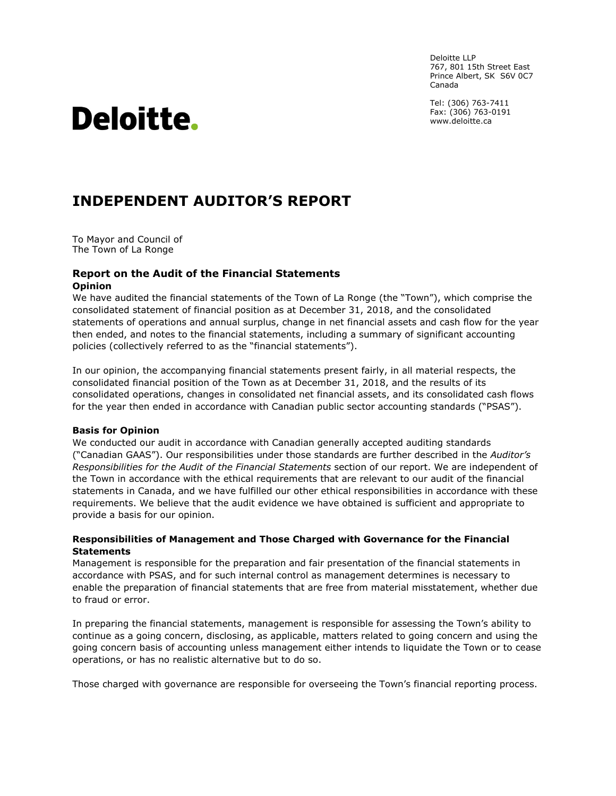Deloitte LLP 767, 801 15th Street East Prince Albert, SK S6V 0C7 Canada

Tel: (306) 763-7411 Fax: (306) 763-0191 www.deloitte.ca

# Deloitte.

## **INDEPENDENT AUDITOR'S REPORT**

To Mayor and Council of The Town of La Ronge

#### **Report on the Audit of the Financial Statements Opinion**

We have audited the financial statements of the Town of La Ronge (the "Town"), which comprise the consolidated statement of financial position as at December 31, 2018, and the consolidated statements of operations and annual surplus, change in net financial assets and cash flow for the year then ended, and notes to the financial statements, including a summary of significant accounting policies (collectively referred to as the "financial statements").

In our opinion, the accompanying financial statements present fairly, in all material respects, the consolidated financial position of the Town as at December 31, 2018, and the results of its consolidated operations, changes in consolidated net financial assets, and its consolidated cash flows for the year then ended in accordance with Canadian public sector accounting standards ("PSAS").

#### **Basis for Opinion**

We conducted our audit in accordance with Canadian generally accepted auditing standards ("Canadian GAAS"). Our responsibilities under those standards are further described in the *Auditor's Responsibilities for the Audit of the Financial Statements* section of our report. We are independent of the Town in accordance with the ethical requirements that are relevant to our audit of the financial statements in Canada, and we have fulfilled our other ethical responsibilities in accordance with these requirements. We believe that the audit evidence we have obtained is sufficient and appropriate to provide a basis for our opinion.

#### **Responsibilities of Management and Those Charged with Governance for the Financial Statements**

Management is responsible for the preparation and fair presentation of the financial statements in accordance with PSAS, and for such internal control as management determines is necessary to enable the preparation of financial statements that are free from material misstatement, whether due to fraud or error.

In preparing the financial statements, management is responsible for assessing the Town's ability to continue as a going concern, disclosing, as applicable, matters related to going concern and using the going concern basis of accounting unless management either intends to liquidate the Town or to cease operations, or has no realistic alternative but to do so.

Those charged with governance are responsible for overseeing the Town's financial reporting process.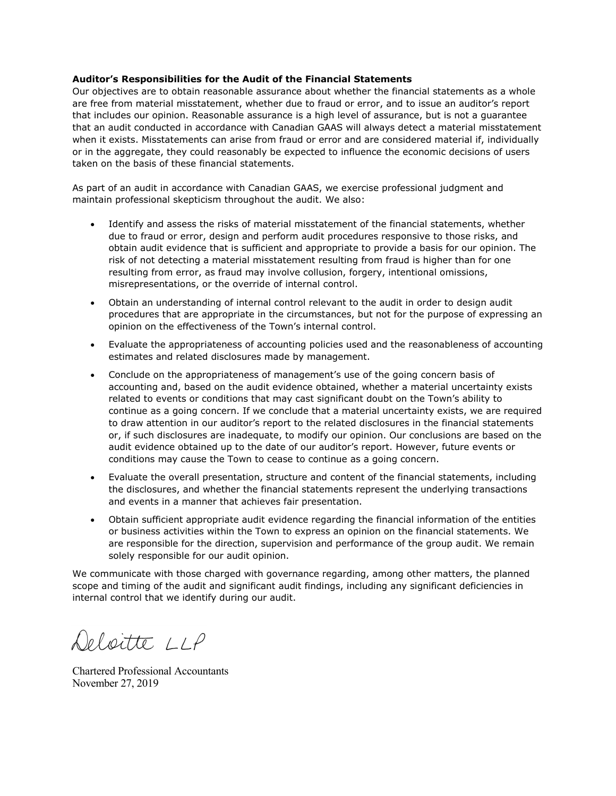#### **Auditor's Responsibilities for the Audit of the Financial Statements**

Our objectives are to obtain reasonable assurance about whether the financial statements as a whole are free from material misstatement, whether due to fraud or error, and to issue an auditor's report that includes our opinion. Reasonable assurance is a high level of assurance, but is not a guarantee that an audit conducted in accordance with Canadian GAAS will always detect a material misstatement when it exists. Misstatements can arise from fraud or error and are considered material if, individually or in the aggregate, they could reasonably be expected to influence the economic decisions of users taken on the basis of these financial statements.

As part of an audit in accordance with Canadian GAAS, we exercise professional judgment and maintain professional skepticism throughout the audit. We also:

- Identify and assess the risks of material misstatement of the financial statements, whether due to fraud or error, design and perform audit procedures responsive to those risks, and obtain audit evidence that is sufficient and appropriate to provide a basis for our opinion. The risk of not detecting a material misstatement resulting from fraud is higher than for one resulting from error, as fraud may involve collusion, forgery, intentional omissions, misrepresentations, or the override of internal control.
- Obtain an understanding of internal control relevant to the audit in order to design audit procedures that are appropriate in the circumstances, but not for the purpose of expressing an opinion on the effectiveness of the Town's internal control.
- Evaluate the appropriateness of accounting policies used and the reasonableness of accounting estimates and related disclosures made by management.
- Conclude on the appropriateness of management's use of the going concern basis of accounting and, based on the audit evidence obtained, whether a material uncertainty exists related to events or conditions that may cast significant doubt on the Town's ability to continue as a going concern. If we conclude that a material uncertainty exists, we are required to draw attention in our auditor's report to the related disclosures in the financial statements or, if such disclosures are inadequate, to modify our opinion. Our conclusions are based on the audit evidence obtained up to the date of our auditor's report. However, future events or conditions may cause the Town to cease to continue as a going concern.
- Evaluate the overall presentation, structure and content of the financial statements, including the disclosures, and whether the financial statements represent the underlying transactions and events in a manner that achieves fair presentation.
- Obtain sufficient appropriate audit evidence regarding the financial information of the entities or business activities within the Town to express an opinion on the financial statements. We are responsible for the direction, supervision and performance of the group audit. We remain solely responsible for our audit opinion.

We communicate with those charged with governance regarding, among other matters, the planned scope and timing of the audit and significant audit findings, including any significant deficiencies in internal control that we identify during our audit.

Deloitte LLP

Chartered Professional Accountants November 27, 2019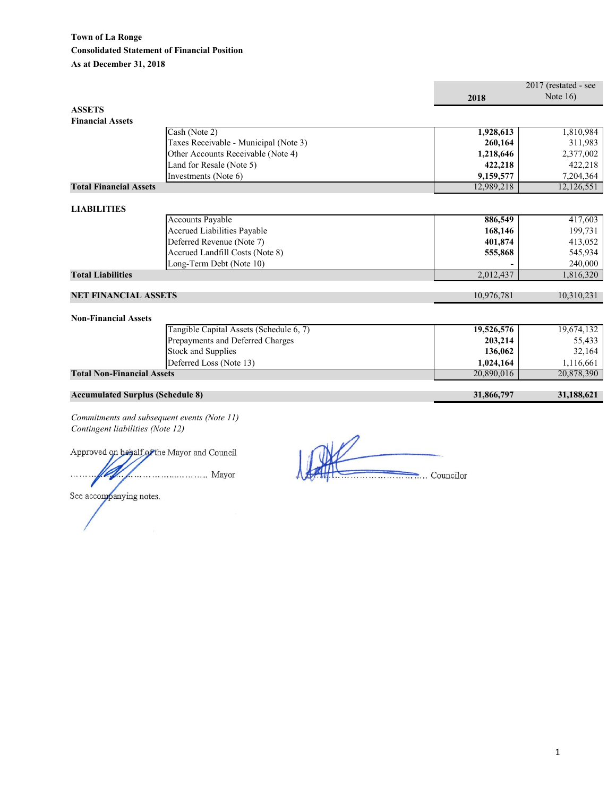|                                         |                                             |            | 2017 (restated - see |
|-----------------------------------------|---------------------------------------------|------------|----------------------|
|                                         |                                             | 2018       | Note $16$ )          |
| <b>ASSETS</b>                           |                                             |            |                      |
| <b>Financial Assets</b>                 |                                             |            |                      |
|                                         | Cash (Note 2)                               | 1,928,613  | 1,810,984            |
|                                         | Taxes Receivable - Municipal (Note 3)       | 260,164    | 311,983              |
|                                         | Other Accounts Receivable (Note 4)          | 1,218,646  | 2,377,002            |
|                                         | Land for Resale (Note 5)                    | 422,218    | 422,218              |
|                                         | Investments (Note 6)                        | 9,159,577  | 7,204,364            |
| <b>Total Financial Assets</b>           |                                             | 12,989,218 | 12,126,551           |
|                                         |                                             |            |                      |
| <b>LIABILITIES</b>                      |                                             |            |                      |
|                                         | <b>Accounts Payable</b>                     | 886,549    | 417,603              |
|                                         | Accrued Liabilities Payable                 | 168,146    | 199,731              |
|                                         | Deferred Revenue (Note 7)                   | 401,874    | 413,052              |
|                                         | Accrued Landfill Costs (Note 8)             | 555,868    | 545,934              |
|                                         | Long-Term Debt (Note 10)                    |            | 240,000              |
| <b>Total Liabilities</b>                |                                             | 2,012,437  | 1,816,320            |
|                                         |                                             |            |                      |
| <b>NET FINANCIAL ASSETS</b>             |                                             | 10,976,781 | 10,310,231           |
| <b>Non-Financial Assets</b>             |                                             |            |                      |
|                                         | Tangible Capital Assets (Schedule 6, 7)     | 19,526,576 | 19,674,132           |
|                                         | Prepayments and Deferred Charges            | 203,214    | 55,433               |
|                                         | <b>Stock and Supplies</b>                   | 136,062    | 32,164               |
|                                         | Deferred Loss (Note 13)                     | 1,024,164  | 1,116,661            |
| <b>Total Non-Financial Assets</b>       |                                             | 20,890,016 | 20,878,390           |
| <b>Accumulated Surplus (Schedule 8)</b> |                                             | 31,866,797 | 31,188,621           |
|                                         |                                             |            |                      |
|                                         | Commitments and subsequent events (Note 11) |            |                      |

*Commitments and subsequent events (Note 11) Contingent liabilities (Note 12)*

Approved on behalf of the Mayor and Council ...................... Mayor  $\ddotsc$ ٤

Councilor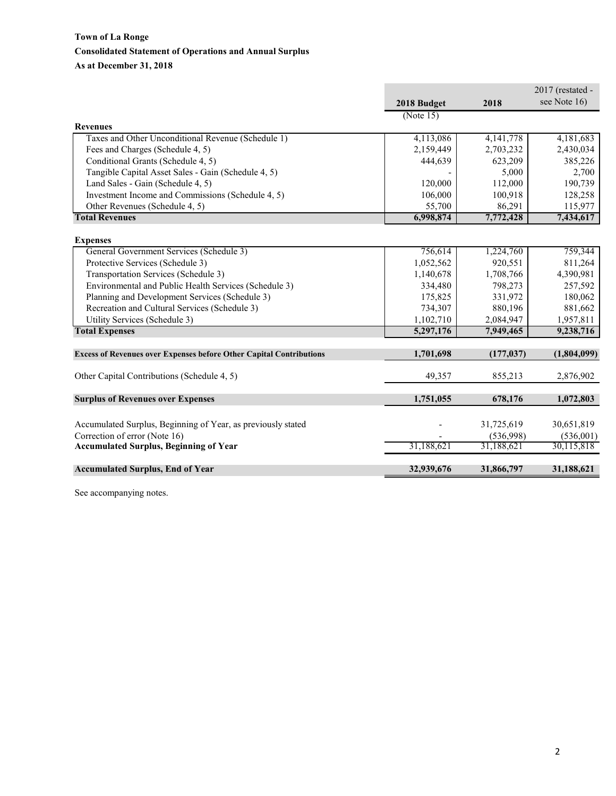## **Town of La Ronge Consolidated Statement of Operations and Annual Surplus As at December 31, 2018**

|                                                                            |             |            | $2017$ (restated - |
|----------------------------------------------------------------------------|-------------|------------|--------------------|
|                                                                            | 2018 Budget | 2018       | see Note 16)       |
|                                                                            | (Note 15)   |            |                    |
| <b>Revenues</b>                                                            |             |            |                    |
| Taxes and Other Unconditional Revenue (Schedule 1)                         | 4,113,086   | 4,141,778  | 4,181,683          |
| Fees and Charges (Schedule 4, 5)                                           | 2,159,449   | 2,703,232  | 2,430,034          |
| Conditional Grants (Schedule 4, 5)                                         | 444,639     | 623,209    | 385,226            |
| Tangible Capital Asset Sales - Gain (Schedule 4, 5)                        |             | 5,000      | 2,700              |
| Land Sales - Gain (Schedule 4, 5)                                          | 120,000     | 112,000    | 190,739            |
| Investment Income and Commissions (Schedule 4, 5)                          | 106,000     | 100,918    | 128,258            |
| Other Revenues (Schedule 4, 5)                                             | 55,700      | 86,291     | 115,977            |
| <b>Total Revenues</b>                                                      | 6,998,874   | 7,772,428  | 7,434,617          |
|                                                                            |             |            |                    |
| <b>Expenses</b>                                                            |             |            |                    |
| General Government Services (Schedule 3)                                   | 756,614     | 1,224,760  | 759,344            |
| Protective Services (Schedule 3)                                           | 1,052,562   | 920,551    | 811,264            |
| Transportation Services (Schedule 3)                                       | 1,140,678   | 1,708,766  | 4,390,981          |
| Environmental and Public Health Services (Schedule 3)                      | 334,480     | 798,273    | 257,592            |
| Planning and Development Services (Schedule 3)                             | 175,825     | 331,972    | 180,062            |
| Recreation and Cultural Services (Schedule 3)                              | 734,307     | 880,196    | 881,662            |
| Utility Services (Schedule 3)                                              | 1,102,710   | 2,084,947  | 1,957,811          |
| <b>Total Expenses</b>                                                      | 5,297,176   | 7,949,465  | 9,238,716          |
| <b>Excess of Revenues over Expenses before Other Capital Contributions</b> | 1,701,698   | (177, 037) | (1,804,099)        |
|                                                                            |             |            |                    |
| Other Capital Contributions (Schedule 4, 5)                                | 49,357      | 855,213    | 2,876,902          |
|                                                                            |             |            |                    |
| <b>Surplus of Revenues over Expenses</b>                                   | 1,751,055   | 678,176    | 1,072,803          |
|                                                                            |             |            |                    |
| Accumulated Surplus, Beginning of Year, as previously stated               |             | 31,725,619 | 30,651,819         |
| Correction of error (Note 16)                                              |             | (536,998)  | (536,001)          |
| <b>Accumulated Surplus, Beginning of Year</b>                              | 31,188,621  | 31.188.621 | 30,115,818         |
|                                                                            |             |            |                    |
| <b>Accumulated Surplus, End of Year</b>                                    | 32,939,676  | 31,866,797 | 31,188,621         |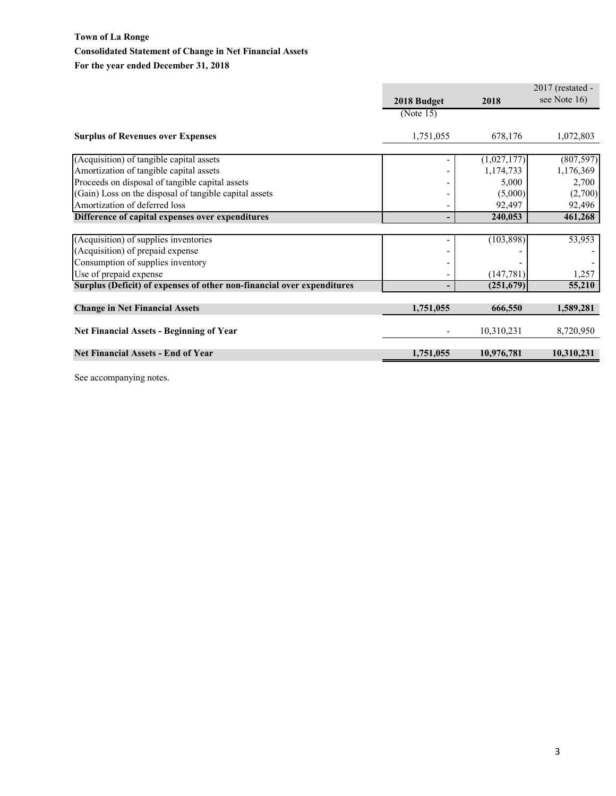## **Town of La Ronge Consolidated Statement of Change in Net Financial Assets For the year ended December 31, 2018**

|                                                                        |             |             | 2017 (restated - |
|------------------------------------------------------------------------|-------------|-------------|------------------|
|                                                                        | 2018 Budget | 2018        | see Note 16)     |
|                                                                        | (Note 15)   |             |                  |
| <b>Surplus of Revenues over Expenses</b>                               | 1,751,055   | 678,176     | 1,072,803        |
| (Acquisition) of tangible capital assets                               |             | (1,027,177) | (807, 597)       |
| Amortization of tangible capital assets                                |             | 1,174,733   | 1,176,369        |
| Proceeds on disposal of tangible capital assets                        |             | 5,000       | 2,700            |
| (Gain) Loss on the disposal of tangible capital assets                 |             | (5,000)     | (2,700)          |
| Amortization of deferred loss                                          |             | 92,497      | 92,496           |
| Difference of capital expenses over expenditures                       | ٠           | 240,053     | 461,268          |
|                                                                        |             |             |                  |
| (Acquisition) of supplies inventories                                  |             | (103, 898)  | 53,953           |
| (Acquisition) of prepaid expense                                       |             |             |                  |
| Consumption of supplies inventory                                      |             |             |                  |
| Use of prepaid expense                                                 |             | (147, 781)  | 1,257            |
| Surplus (Deficit) of expenses of other non-financial over expenditures | -           | (251,679)   | 55,210           |
|                                                                        |             |             |                  |
| <b>Change in Net Financial Assets</b>                                  | 1,751,055   | 666,550     | 1,589,281        |
| <b>Net Financial Assets - Beginning of Year</b>                        |             | 10,310,231  | 8,720,950        |
|                                                                        |             |             |                  |
| <b>Net Financial Assets - End of Year</b>                              | 1,751,055   | 10,976,781  | 10,310,231       |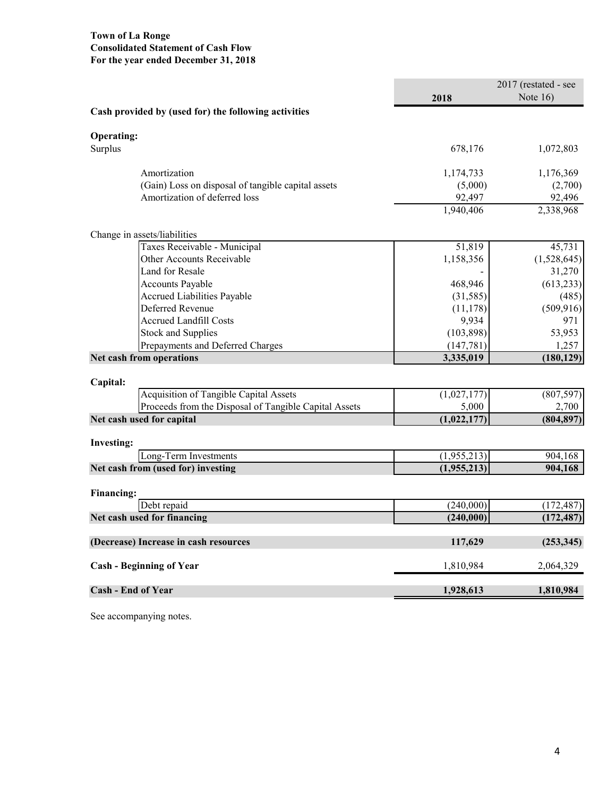## **Town of La Ronge Consolidated Statement of Cash Flow For the year ended December 31, 2018**

|                                                       |             | $2017$ (restated - see |
|-------------------------------------------------------|-------------|------------------------|
|                                                       | 2018        | Note $16$ )            |
| Cash provided by (used for) the following activities  |             |                        |
| <b>Operating:</b>                                     |             |                        |
| Surplus                                               | 678,176     | 1,072,803              |
| Amortization                                          | 1,174,733   | 1,176,369              |
| (Gain) Loss on disposal of tangible capital assets    | (5,000)     | (2,700)                |
| Amortization of deferred loss                         | 92,497      | 92,496                 |
|                                                       | 1,940,406   | 2,338,968              |
| Change in assets/liabilities                          |             |                        |
| Taxes Receivable - Municipal                          | 51,819      | 45,731                 |
| Other Accounts Receivable                             | 1,158,356   | (1,528,645)            |
| Land for Resale                                       |             | 31,270                 |
| <b>Accounts Payable</b>                               | 468,946     | (613, 233)             |
| Accrued Liabilities Payable                           | (31, 585)   | (485)                  |
| Deferred Revenue                                      | (11, 178)   | (509, 916)             |
| <b>Accrued Landfill Costs</b>                         | 9,934       | 971                    |
| <b>Stock and Supplies</b>                             | (103, 898)  | 53,953                 |
| Prepayments and Deferred Charges                      | (147, 781)  | 1,257                  |
| Net cash from operations                              | 3,335,019   | (180, 129)             |
| Capital:                                              |             |                        |
| Acquisition of Tangible Capital Assets                | (1,027,177) | (807, 597)             |
| Proceeds from the Disposal of Tangible Capital Assets | 5,000       | 2,700                  |
| Net cash used for capital                             | (1,022,177) | (804, 897)             |
| <b>Investing:</b>                                     |             |                        |
| Long-Term Investments                                 | (1,955,213) | 904,168                |
| Net cash from (used for) investing                    | (1,955,213) | 904,168                |
| <b>Financing:</b>                                     |             |                        |
| Debt repaid                                           | (240,000)   | (172, 487)             |
| Net cash used for financing                           | (240,000)   | (172, 487)             |
| (Decrease) Increase in cash resources                 | 117,629     | (253, 345)             |
| <b>Cash - Beginning of Year</b>                       | 1,810,984   | 2,064,329              |
| <b>Cash - End of Year</b>                             | 1,928,613   | 1,810,984              |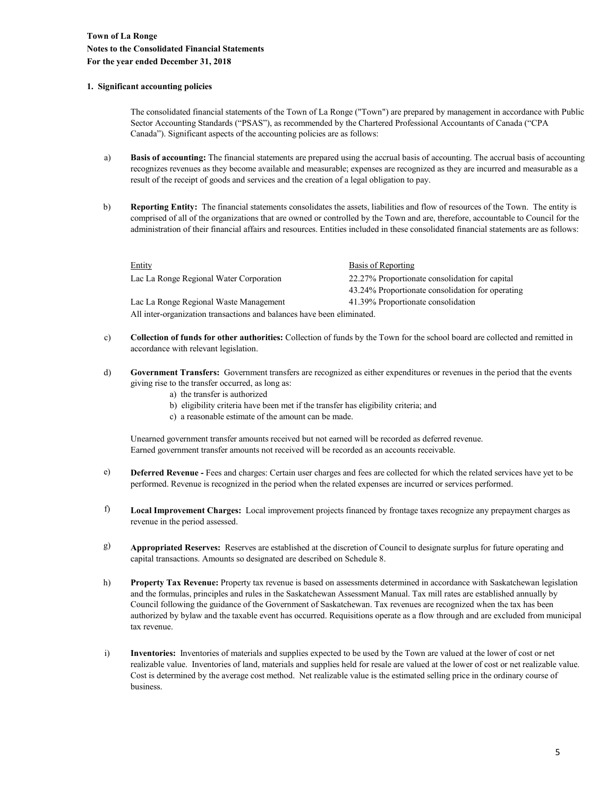#### **1. Significant accounting policies**

The consolidated financial statements of the Town of La Ronge ("Town") are prepared by management in accordance with Public Sector Accounting Standards ("PSAS"), as recommended by the Chartered Professional Accountants of Canada ("CPA Canada"). Significant aspects of the accounting policies are as follows:

- a) **Basis of accounting:** The financial statements are prepared using the accrual basis of accounting. The accrual basis of accounting recognizes revenues as they become available and measurable; expenses are recognized as they are incurred and measurable as a result of the receipt of goods and services and the creation of a legal obligation to pay.
- b) **Reporting Entity:** The financial statements consolidates the assets, liabilities and flow of resources of the Town. The entity is comprised of all of the organizations that are owned or controlled by the Town and are, therefore, accountable to Council for the administration of their financial affairs and resources. Entities included in these consolidated financial statements are as follows:

| Entity                                                                 | Basis of Reporting                               |  |  |
|------------------------------------------------------------------------|--------------------------------------------------|--|--|
| Lac La Ronge Regional Water Corporation                                | 22.27% Proportionate consolidation for capital   |  |  |
|                                                                        | 43.24% Proportionate consolidation for operating |  |  |
| Lac La Ronge Regional Waste Management                                 | 41.39% Proportionate consolidation               |  |  |
| All inter-organization transactions and balances have been eliminated. |                                                  |  |  |

- c) **Collection of funds for other authorities:** Collection of funds by the Town for the school board are collected and remitted in accordance with relevant legislation.
- d) **Government Transfers:** Government transfers are recognized as either expenditures or revenues in the period that the events giving rise to the transfer occurred, as long as:
	- a) the transfer is authorized
	- b) eligibility criteria have been met if the transfer has eligibility criteria; and
	- c) a reasonable estimate of the amount can be made.

Unearned government transfer amounts received but not earned will be recorded as deferred revenue. Earned government transfer amounts not received will be recorded as an accounts receivable.

- e) **Deferred Revenue -** Fees and charges: Certain user charges and fees are collected for which the related services have yet to be performed. Revenue is recognized in the period when the related expenses are incurred or services performed.
- f) **Local Improvement Charges:** Local improvement projects financed by frontage taxes recognize any prepayment charges as revenue in the period assessed.
- g) **Appropriated Reserves:** Reserves are established at the discretion of Council to designate surplus for future operating and capital transactions. Amounts so designated are described on Schedule 8.
- h) **Property Tax Revenue:** Property tax revenue is based on assessments determined in accordance with Saskatchewan legislation and the formulas, principles and rules in the Saskatchewan Assessment Manual. Tax mill rates are established annually by Council following the guidance of the Government of Saskatchewan. Tax revenues are recognized when the tax has been authorized by bylaw and the taxable event has occurred. Requisitions operate as a flow through and are excluded from municipal tax revenue.
- i) **Inventories:** Inventories of materials and supplies expected to be used by the Town are valued at the lower of cost or net realizable value. Inventories of land, materials and supplies held for resale are valued at the lower of cost or net realizable value. Cost is determined by the average cost method. Net realizable value is the estimated selling price in the ordinary course of business.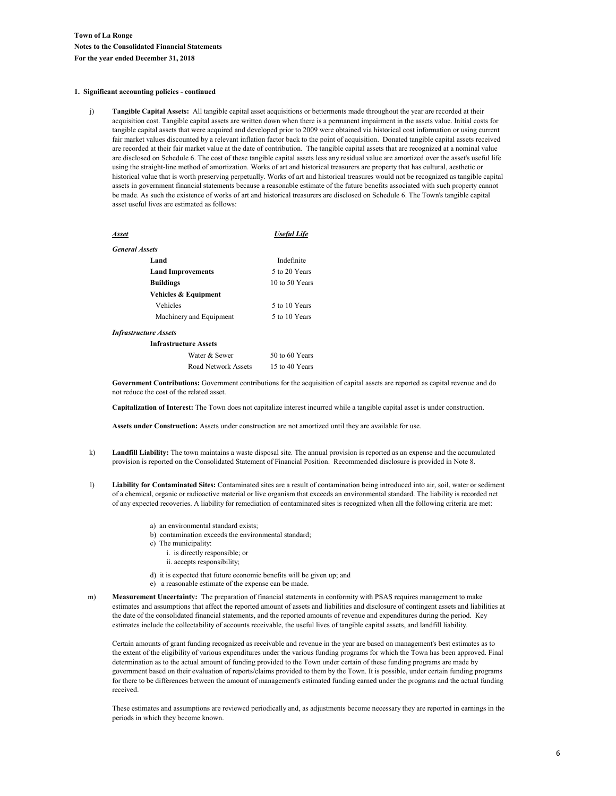#### **1. Significant accounting policies - continued**

j) **Tangible Capital Assets:** All tangible capital asset acquisitions or betterments made throughout the year are recorded at their acquisition cost. Tangible capital assets are written down when there is a permanent impairment in the assets value. Initial costs for tangible capital assets that were acquired and developed prior to 2009 were obtained via historical cost information or using current fair market values discounted by a relevant inflation factor back to the point of acquisition. Donated tangible capital assets received are recorded at their fair market value at the date of contribution. The tangible capital assets that are recognized at a nominal value are disclosed on Schedule 6. The cost of these tangible capital assets less any residual value are amortized over the asset's useful life using the straight-line method of amortization. Works of art and historical treasurers are property that has cultural, aesthetic or historical value that is worth preserving perpetually. Works of art and historical treasures would not be recognized as tangible capital assets in government financial statements because a reasonable estimate of the future benefits associated with such property cannot be made. As such the existence of works of art and historical treasurers are disclosed on Schedule 6. The Town's tangible capital asset useful lives are estimated as follows:

| <b>Asset</b>                 |                              | <b>Useful Life</b> |
|------------------------------|------------------------------|--------------------|
| <b>General Assets</b>        |                              |                    |
| Land                         |                              | Indefinite         |
|                              | <b>Land Improvements</b>     | 5 to 20 Years      |
| <b>Buildings</b>             |                              | 10 to 50 Years     |
|                              | Vehicles & Equipment         |                    |
| Vehicles                     |                              | 5 to 10 Years      |
|                              | Machinery and Equipment      | 5 to 10 Years      |
| <b>Infrastructure Assets</b> |                              |                    |
|                              | <b>Infrastructure Assets</b> |                    |
|                              | Water & Sewer                | 50 to 60 Years     |
|                              | Road Network Assets          | 15 to 40 Years     |

**Government Contributions:** Government contributions for the acquisition of capital assets are reported as capital revenue and do not reduce the cost of the related asset.

**Capitalization of Interest:** The Town does not capitalize interest incurred while a tangible capital asset is under construction.

**Assets under Construction:** Assets under construction are not amortized until they are available for use.

- k) **Landfill Liability:** The town maintains a waste disposal site. The annual provision is reported as an expense and the accumulated provision is reported on the Consolidated Statement of Financial Position. Recommended disclosure is provided in Note 8.
- l) **Liability for Contaminated Sites:** Contaminated sites are a result of contamination being introduced into air, soil, water or sediment of a chemical, organic or radioactive material or live organism that exceeds an environmental standard. The liability is recorded net of any expected recoveries. A liability for remediation of contaminated sites is recognized when all the following criteria are met:
	- a) an environmental standard exists;
	- b) contamination exceeds the environmental standard;
	- c) The municipality:
		- i. is directly responsible; or
		- ii. accepts responsibility;
	- d) it is expected that future economic benefits will be given up; and
	- e) a reasonable estimate of the expense can be made.
- m) **Measurement Uncertainty:** The preparation of financial statements in conformity with PSAS requires management to make estimates and assumptions that affect the reported amount of assets and liabilities and disclosure of contingent assets and liabilities at the date of the consolidated financial statements, and the reported amounts of revenue and expenditures during the period. Key estimates include the collectability of accounts receivable, the useful lives of tangible capital assets, and landfill liability.

Certain amounts of grant funding recognized as receivable and revenue in the year are based on management's best estimates as to the extent of the eligibility of various expenditures under the various funding programs for which the Town has been approved. Final determination as to the actual amount of funding provided to the Town under certain of these funding programs are made by government based on their evaluation of reports/claims provided to them by the Town. It is possible, under certain funding programs for there to be differences between the amount of management's estimated funding earned under the programs and the actual funding received.

These estimates and assumptions are reviewed periodically and, as adjustments become necessary they are reported in earnings in the periods in which they become known.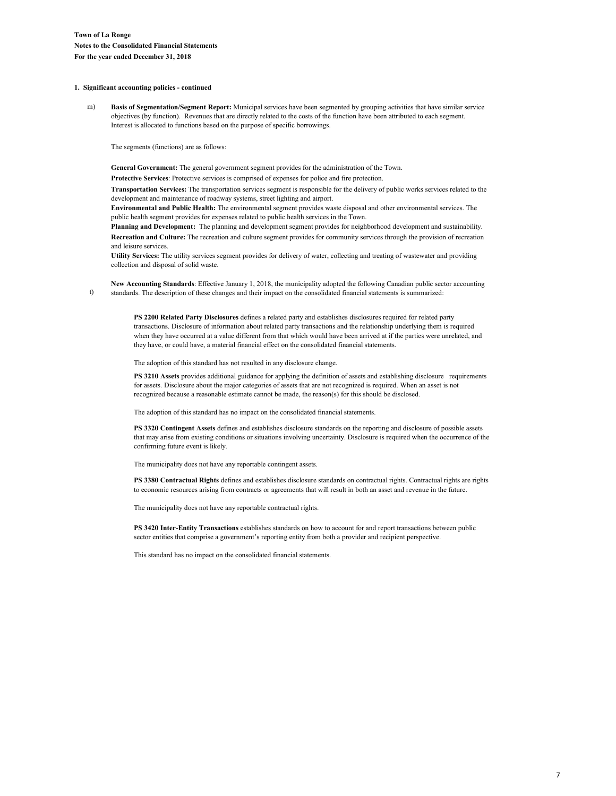#### **1. Significant accounting policies - continued**

t)

m) **Basis of Segmentation/Segment Report:** Municipal services have been segmented by grouping activities that have similar service objectives (by function). Revenues that are directly related to the costs of the function have been attributed to each segment. Interest is allocated to functions based on the purpose of specific borrowings.

The segments (functions) are as follows:

**General Government:** The general government segment provides for the administration of the Town.

**Protective Services**: Protective services is comprised of expenses for police and fire protection.

**Transportation Services:** The transportation services segment is responsible for the delivery of public works services related to the development and maintenance of roadway systems, street lighting and airport.

**Environmental and Public Health:** The environmental segment provides waste disposal and other environmental services. The public health segment provides for expenses related to public health services in the Town.

**Planning and Development:** The planning and development segment provides for neighborhood development and sustainability. **Recreation and Culture:** The recreation and culture segment provides for community services through the provision of recreation and leisure services.

**Utility Services:** The utility services segment provides for delivery of water, collecting and treating of wastewater and providing collection and disposal of solid waste.

**New Accounting Standards**: Effective January 1, 2018, the municipality adopted the following Canadian public sector accounting standards. The description of these changes and their impact on the consolidated financial statements is summarized:

**PS 2200 Related Party Disclosures** defines a related party and establishes disclosures required for related party transactions. Disclosure of information about related party transactions and the relationship underlying them is required when they have occurred at a value different from that which would have been arrived at if the parties were unrelated, and they have, or could have, a material financial effect on the consolidated financial statements.

The adoption of this standard has not resulted in any disclosure change.

**PS 3210 Assets** provides additional guidance for applying the definition of assets and establishing disclosure requirements for assets. Disclosure about the major categories of assets that are not recognized is required. When an asset is not recognized because a reasonable estimate cannot be made, the reason(s) for this should be disclosed.

The adoption of this standard has no impact on the consolidated financial statements.

**PS 3320 Contingent Assets** defines and establishes disclosure standards on the reporting and disclosure of possible assets that may arise from existing conditions or situations involving uncertainty. Disclosure is required when the occurrence of the confirming future event is likely.

The municipality does not have any reportable contingent assets.

**PS 3380 Contractual Rights** defines and establishes disclosure standards on contractual rights. Contractual rights are rights to economic resources arising from contracts or agreements that will result in both an asset and revenue in the future.

The municipality does not have any reportable contractual rights.

**PS 3420 Inter-Entity Transactions** establishes standards on how to account for and report transactions between public sector entities that comprise a government's reporting entity from both a provider and recipient perspective.

This standard has no impact on the consolidated financial statements.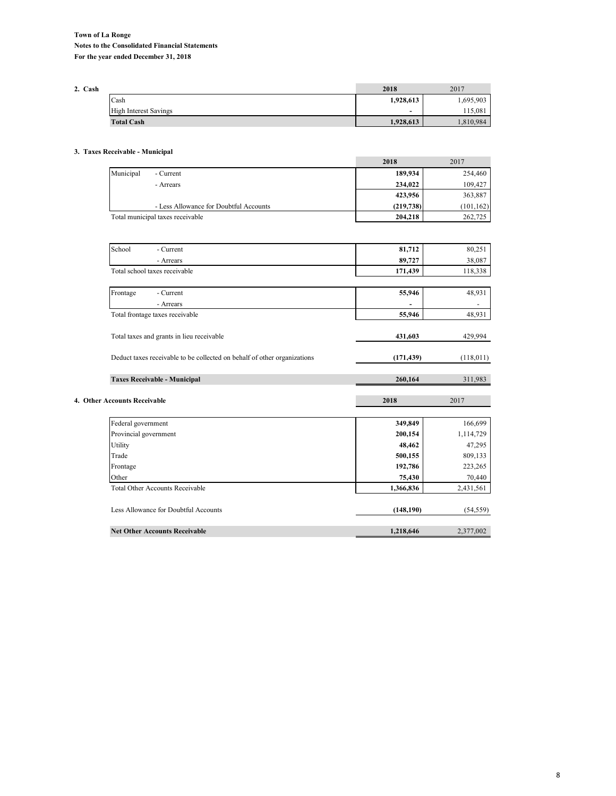| 2. Cash |                              | 2018           | 2017      |
|---------|------------------------------|----------------|-----------|
|         | Cash                         | 1,928,613      | 1,695,903 |
|         | <b>High Interest Savings</b> | $\overline{a}$ | 115,081   |
|         | <b>Total Cash</b>            | 1,928,613      | 1,810,984 |

#### **3. Taxes Receivable - Municipal**

|                                        | 2018       | 2017       |
|----------------------------------------|------------|------------|
| Municipal<br>- Current                 | 189,934    | 254,460    |
| - Arrears                              | 234,022    | 109,427    |
|                                        | 423,956    | 363,887    |
| - Less Allowance for Doubtful Accounts | (219, 738) | (101, 162) |
| Total municipal taxes receivable       | 204,218    | 262,725    |

| School<br>- Current                                                      | 81,712     | 80,251     |
|--------------------------------------------------------------------------|------------|------------|
| - Arrears                                                                | 89,727     | 38,087     |
| Total school taxes receivable                                            | 171,439    | 118,338    |
|                                                                          |            |            |
| Frontage<br>- Current                                                    | 55,946     | 48,931     |
| - Arrears                                                                |            |            |
| Total frontage taxes receivable                                          | 55,946     | 48,931     |
|                                                                          |            |            |
| Total taxes and grants in lieu receivable                                | 431,603    | 429,994    |
|                                                                          |            |            |
| Deduct taxes receivable to be collected on behalf of other organizations | (171, 439) | (118, 011) |
|                                                                          |            |            |
| <b>Taxes Receivable - Municipal</b>                                      | 260,164    | 311,983    |
|                                                                          |            |            |
|                                                                          |            |            |
| 4. Other Accounts Receivable                                             | 2018       | 2017       |
|                                                                          |            |            |
| Federal government                                                       | 349,849    | 166,699    |
| Provincial government                                                    | 200,154    | 1,114,729  |
| Utility                                                                  | 48,462     | 47,295     |
| Trade                                                                    | 500,155    | 809,133    |
| Frontage                                                                 | 192,786    | 223,265    |
| Other                                                                    | 75,430     | 70,440     |
| <b>Total Other Accounts Receivable</b>                                   | 1,366,836  | 2,431,561  |
|                                                                          |            |            |
| Less Allowance for Doubtful Accounts                                     | (148, 190) | (54, 559)  |
| <b>Net Other Accounts Receivable</b>                                     | 1,218,646  | 2,377,002  |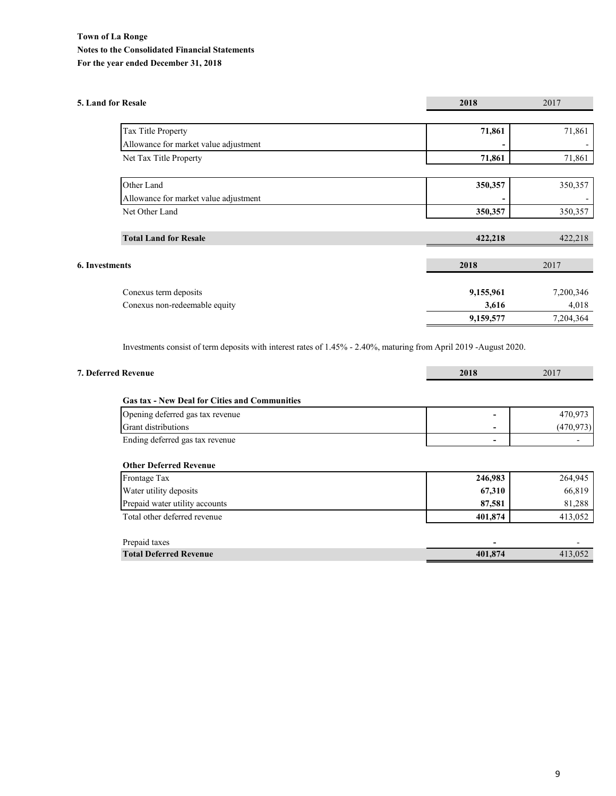## **Town of La Ronge Notes to the Consolidated Financial Statements For the year ended December 31, 2018**

| 5. Land for Resale                    | 2018      | 2017      |
|---------------------------------------|-----------|-----------|
| Tax Title Property                    | 71,861    | 71,861    |
| Allowance for market value adjustment |           |           |
| Net Tax Title Property                | 71,861    | 71,861    |
| Other Land                            | 350,357   | 350,357   |
| Allowance for market value adjustment |           |           |
| Net Other Land                        | 350,357   | 350,357   |
| <b>Total Land for Resale</b>          | 422,218   | 422,218   |
| <b>6. Investments</b>                 | 2018      | 2017      |
| Conexus term deposits                 | 9,155,961 | 7,200,346 |
| Conexus non-redeemable equity         | 3,616     | 4,018     |
|                                       | 9,159,577 | 7,204,364 |

Investments consist of term deposits with interest rates of 1.45% - 2.40%, maturing from April 2019 -August 2020.

| 7. Deferred Revenue                                  | 2018                     | 2017       |
|------------------------------------------------------|--------------------------|------------|
| <b>Gas tax - New Deal for Cities and Communities</b> |                          |            |
| Opening deferred gas tax revenue                     | $\overline{\phantom{0}}$ | 470,973    |
| <b>Grant distributions</b>                           |                          | (470, 973) |
| Ending deferred gas tax revenue                      | $\overline{\phantom{a}}$ |            |
| Frontage Tax                                         | 246,983                  | 264,945    |
| <b>Other Deferred Revenue</b>                        |                          |            |
| Water utility deposits                               | 67,310                   | 66,819     |
| Prepaid water utility accounts                       | 87,581                   | 81,288     |
| Total other deferred revenue                         | 401,874                  | 413,052    |
| Prepaid taxes                                        |                          |            |
| <b>Total Deferred Revenue</b>                        | 401,874                  | 413,052    |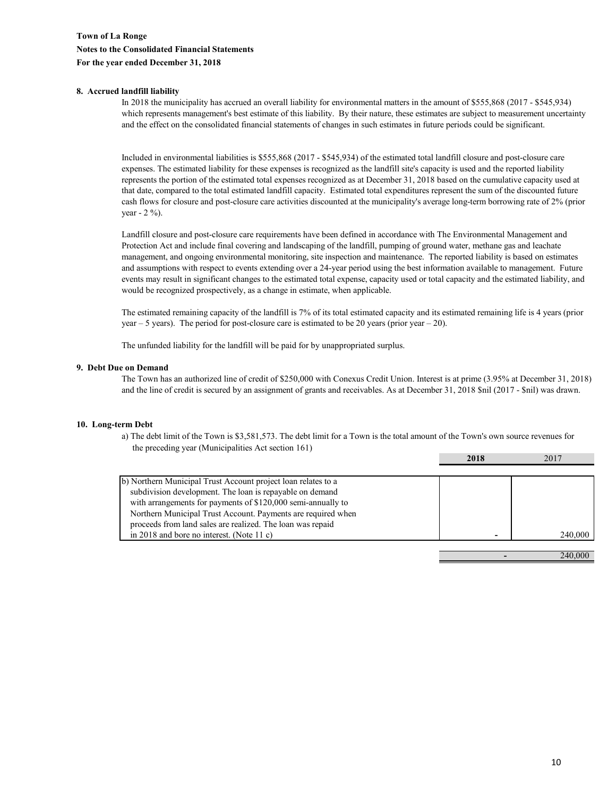#### **8. Accrued landfill liability**

In 2018 the municipality has accrued an overall liability for environmental matters in the amount of \$555,868 (2017 - \$545,934) which represents management's best estimate of this liability. By their nature, these estimates are subject to measurement uncertainty and the effect on the consolidated financial statements of changes in such estimates in future periods could be significant.

Included in environmental liabilities is \$555,868 (2017 - \$545,934) of the estimated total landfill closure and post-closure care expenses. The estimated liability for these expenses is recognized as the landfill site's capacity is used and the reported liability represents the portion of the estimated total expenses recognized as at December 31, 2018 based on the cumulative capacity used at that date, compared to the total estimated landfill capacity. Estimated total expenditures represent the sum of the discounted future cash flows for closure and post-closure care activities discounted at the municipality's average long-term borrowing rate of 2% (prior year - 2 %).

Landfill closure and post-closure care requirements have been defined in accordance with The Environmental Management and Protection Act and include final covering and landscaping of the landfill, pumping of ground water, methane gas and leachate management, and ongoing environmental monitoring, site inspection and maintenance. The reported liability is based on estimates and assumptions with respect to events extending over a 24-year period using the best information available to management. Future events may result in significant changes to the estimated total expense, capacity used or total capacity and the estimated liability, and would be recognized prospectively, as a change in estimate, when applicable.

The estimated remaining capacity of the landfill is 7% of its total estimated capacity and its estimated remaining life is 4 years (prior year – 5 years). The period for post-closure care is estimated to be 20 years (prior year – 20).

The unfunded liability for the landfill will be paid for by unappropriated surplus.

#### **9. Debt Due on Demand**

The Town has an authorized line of credit of \$250,000 with Conexus Credit Union. Interest is at prime (3.95% at December 31, 2018) and the line of credit is secured by an assignment of grants and receivables. As at December 31, 2018 \$nil (2017 - \$nil) was drawn.

#### **10. Long-term Debt**

 the preceding year (Municipalities Act section 161) a) The debt limit of the Town is \$3,581,573. The debt limit for a Town is the total amount of the Town's own source revenues for

|                                                               | 2018 | 2017    |
|---------------------------------------------------------------|------|---------|
|                                                               |      |         |
| b) Northern Municipal Trust Account project loan relates to a |      |         |
| subdivision development. The loan is repayable on demand      |      |         |
| with arrangements for payments of \$120,000 semi-annually to  |      |         |
| Northern Municipal Trust Account. Payments are required when  |      |         |
| proceeds from land sales are realized. The loan was repaid    |      |         |
| in 2018 and bore no interest. (Note 11 c)                     |      | 240,000 |
|                                                               |      |         |
|                                                               |      |         |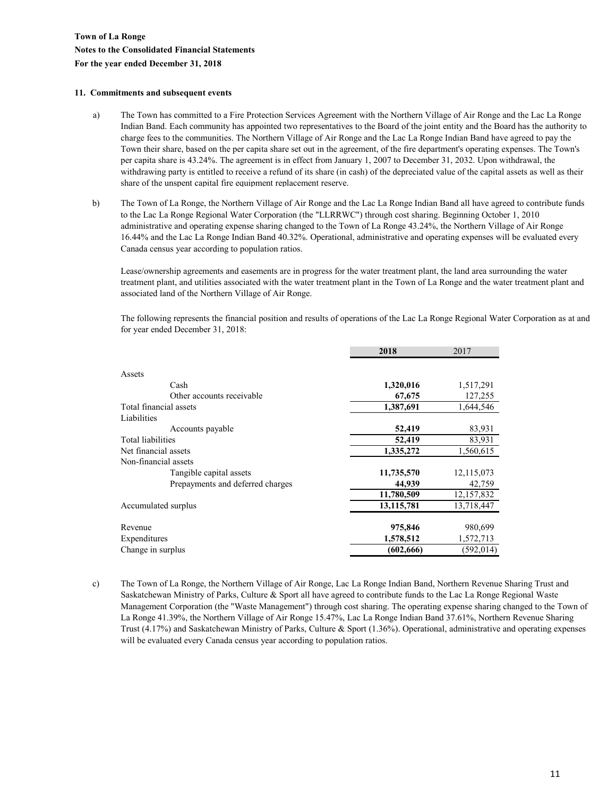#### **11. Commitments and subsequent events**

- a) The Town has committed to a Fire Protection Services Agreement with the Northern Village of Air Ronge and the Lac La Ronge Indian Band. Each community has appointed two representatives to the Board of the joint entity and the Board has the authority to charge fees to the communities. The Northern Village of Air Ronge and the Lac La Ronge Indian Band have agreed to pay the Town their share, based on the per capita share set out in the agreement, of the fire department's operating expenses. The Town's per capita share is 43.24%. The agreement is in effect from January 1, 2007 to December 31, 2032. Upon withdrawal, the withdrawing party is entitled to receive a refund of its share (in cash) of the depreciated value of the capital assets as well as their share of the unspent capital fire equipment replacement reserve.
- b) The Town of La Ronge, the Northern Village of Air Ronge and the Lac La Ronge Indian Band all have agreed to contribute funds to the Lac La Ronge Regional Water Corporation (the "LLRRWC") through cost sharing. Beginning October 1, 2010 administrative and operating expense sharing changed to the Town of La Ronge 43.24%, the Northern Village of Air Ronge 16.44% and the Lac La Ronge Indian Band 40.32%. Operational, administrative and operating expenses will be evaluated every Canada census year according to population ratios.

Lease/ownership agreements and easements are in progress for the water treatment plant, the land area surrounding the water treatment plant, and utilities associated with the water treatment plant in the Town of La Ronge and the water treatment plant and associated land of the Northern Village of Air Ronge.

The following represents the financial position and results of operations of the Lac La Ronge Regional Water Corporation as at and for year ended December 31, 2018:

|                                  | 2018       | 2017         |
|----------------------------------|------------|--------------|
|                                  |            |              |
| Assets                           |            |              |
| Cash                             | 1,320,016  | 1,517,291    |
| Other accounts receivable        | 67,675     | 127,255      |
| Total financial assets           | 1,387,691  | 1,644,546    |
| Liabilities                      |            |              |
| Accounts payable                 | 52,419     | 83,931       |
| <b>Total liabilities</b>         | 52,419     | 83,931       |
| Net financial assets             | 1,335,272  | 1,560,615    |
| Non-financial assets             |            |              |
| Tangible capital assets          | 11,735,570 | 12, 115, 073 |
| Prepayments and deferred charges | 44,939     | 42,759       |
|                                  | 11,780,509 | 12, 157, 832 |
| Accumulated surplus              | 13,115,781 | 13,718,447   |
| Revenue                          | 975,846    | 980,699      |
| Expenditures                     | 1,578,512  | 1,572,713    |
| Change in surplus                | (602, 666) | (592, 014)   |

c) The Town of La Ronge, the Northern Village of Air Ronge, Lac La Ronge Indian Band, Northern Revenue Sharing Trust and Saskatchewan Ministry of Parks, Culture & Sport all have agreed to contribute funds to the Lac La Ronge Regional Waste Management Corporation (the "Waste Management") through cost sharing. The operating expense sharing changed to the Town of La Ronge 41.39%, the Northern Village of Air Ronge 15.47%, Lac La Ronge Indian Band 37.61%, Northern Revenue Sharing Trust (4.17%) and Saskatchewan Ministry of Parks, Culture & Sport (1.36%). Operational, administrative and operating expenses will be evaluated every Canada census year according to population ratios.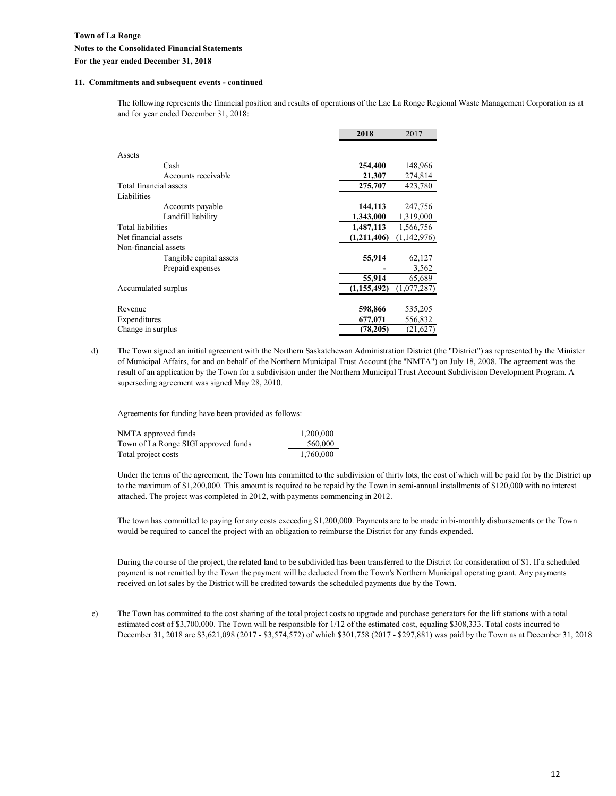#### **11. Commitments and subsequent events - continued**

The following represents the financial position and results of operations of the Lac La Ronge Regional Waste Management Corporation as at and for year ended December 31, 2018:

|                         | 2018          | 2017        |
|-------------------------|---------------|-------------|
|                         |               |             |
| Assets                  |               |             |
| Cash                    | 254,400       | 148,966     |
| Accounts receivable     | 21,307        | 274,814     |
| Total financial assets  | 275,707       | 423,780     |
| Liabilities             |               |             |
| Accounts payable        | 144,113       | 247,756     |
| Landfill liability      | 1,343,000     | 1,319,000   |
| Total liabilities       | 1,487,113     | 1,566,756   |
| Net financial assets    | (1,211,406)   | (1,142,976) |
| Non-financial assets    |               |             |
| Tangible capital assets | 55,914        | 62,127      |
| Prepaid expenses        |               | 3,562       |
|                         | 55,914        | 65,689      |
| Accumulated surplus     | (1, 155, 492) | (1,077,287) |
|                         |               |             |
| Revenue                 | 598,866       | 535,205     |
| Expenditures            | 677,071       | 556,832     |
| Change in surplus       | (78,205)      | (21,627)    |

d) The Town signed an initial agreement with the Northern Saskatchewan Administration District (the "District") as represented by the Minister of Municipal Affairs, for and on behalf of the Northern Municipal Trust Account (the "NMTA") on July 18, 2008. The agreement was the result of an application by the Town for a subdivision under the Northern Municipal Trust Account Subdivision Development Program. A superseding agreement was signed May 28, 2010.

Agreements for funding have been provided as follows:

| NMTA approved funds                  | 1.200.000 |
|--------------------------------------|-----------|
| Town of La Ronge SIGI approved funds | 560,000   |
| Total project costs                  | 1,760,000 |

Under the terms of the agreement, the Town has committed to the subdivision of thirty lots, the cost of which will be paid for by the District up to the maximum of \$1,200,000. This amount is required to be repaid by the Town in semi-annual installments of \$120,000 with no interest attached. The project was completed in 2012, with payments commencing in 2012.

The town has committed to paying for any costs exceeding \$1,200,000. Payments are to be made in bi-monthly disbursements or the Town would be required to cancel the project with an obligation to reimburse the District for any funds expended.

During the course of the project, the related land to be subdivided has been transferred to the District for consideration of \$1. If a scheduled payment is not remitted by the Town the payment will be deducted from the Town's Northern Municipal operating grant. Any payments received on lot sales by the District will be credited towards the scheduled payments due by the Town.

e) The Town has committed to the cost sharing of the total project costs to upgrade and purchase generators for the lift stations with a total estimated cost of \$3,700,000. The Town will be responsible for 1/12 of the estimated cost, equaling \$308,333. Total costs incurred to December 31, 2018 are \$3,621,098 (2017 - \$3,574,572) of which \$301,758 (2017 - \$297,881) was paid by the Town as at December 31, 2018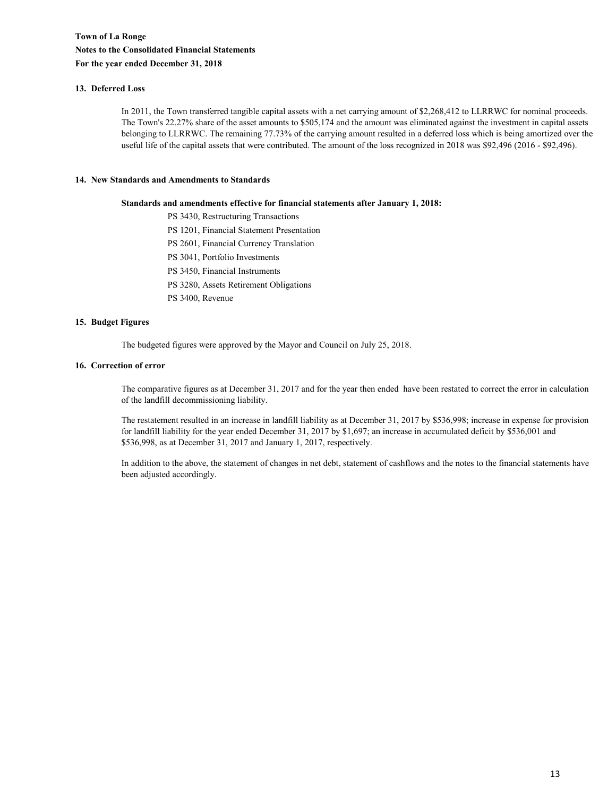#### **13. Deferred Loss**

In 2011, the Town transferred tangible capital assets with a net carrying amount of \$2,268,412 to LLRRWC for nominal proceeds. The Town's 22.27% share of the asset amounts to \$505,174 and the amount was eliminated against the investment in capital assets belonging to LLRRWC. The remaining 77.73% of the carrying amount resulted in a deferred loss which is being amortized over the useful life of the capital assets that were contributed. The amount of the loss recognized in 2018 was \$92,496 (2016 - \$92,496).

#### **14. New Standards and Amendments to Standards**

#### **Standards and amendments effective for financial statements after January 1, 2018:**

PS 3430, Restructuring Transactions

- PS 1201, Financial Statement Presentation
- PS 2601, Financial Currency Translation
- PS 3041, Portfolio Investments
- PS 3450, Financial Instruments
- PS 3280, Assets Retirement Obligations
- PS 3400, Revenue

#### **15. Budget Figures**

The budgeted figures were approved by the Mayor and Council on July 25, 2018.

#### **16. Correction of error**

The comparative figures as at December 31, 2017 and for the year then ended have been restated to correct the error in calculation of the landfill decommissioning liability.

The restatement resulted in an increase in landfill liability as at December 31, 2017 by \$536,998; increase in expense for provision for landfill liability for the year ended December 31, 2017 by \$1,697; an increase in accumulated deficit by \$536,001 and \$536,998, as at December 31, 2017 and January 1, 2017, respectively.

In addition to the above, the statement of changes in net debt, statement of cashflows and the notes to the financial statements have been adjusted accordingly.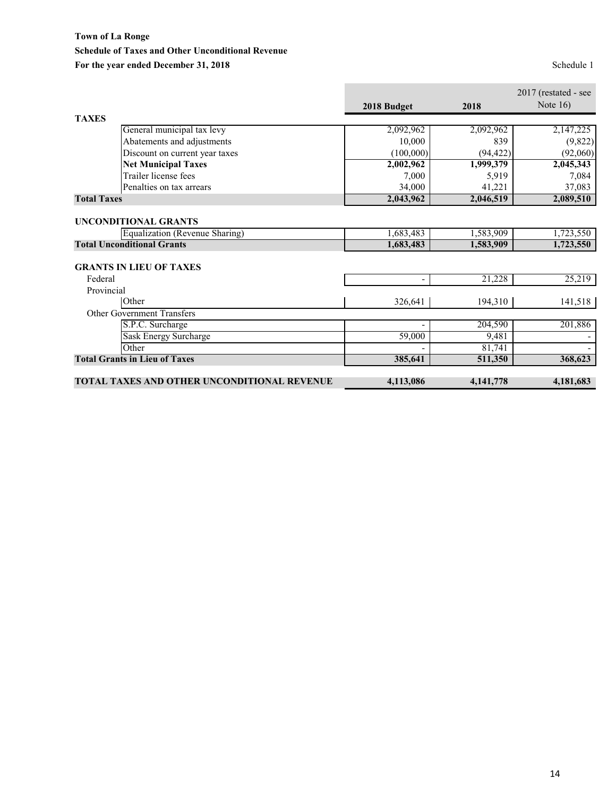## **Town of La Ronge Schedule of Taxes and Other Unconditional Revenue** For the year ended December 31, 2018<br>
Schedule 1

۰

|                                             |                          |             | $2017$ (restated - see |
|---------------------------------------------|--------------------------|-------------|------------------------|
|                                             | 2018 Budget              | 2018        | Note $16$ )            |
| <b>TAXES</b>                                |                          |             |                        |
| General municipal tax levy                  | 2,092,962                | 2,092,962   | 2,147,225              |
| Abatements and adjustments                  | 10,000                   | 839         | (9,822)                |
| Discount on current year taxes              | (100,000)                | (94, 422)   | (92,060)               |
| <b>Net Municipal Taxes</b>                  | 2,002,962                | 1,999,379   | 2,045,343              |
| Trailer license fees                        | 7,000                    | 5,919       | 7,084                  |
| Penalties on tax arrears                    | 34,000                   | 41,221      | 37,083                 |
| <b>Total Taxes</b>                          | 2,043,962                | 2,046,519   | 2,089,510              |
| <b>UNCONDITIONAL GRANTS</b>                 |                          |             |                        |
| Equalization (Revenue Sharing)              | 1,683,483                | 1,583,909   | 1,723,550              |
| <b>Total Unconditional Grants</b>           | 1,683,483                | 1,583,909   | 1,723,550              |
| <b>GRANTS IN LIEU OF TAXES</b>              |                          |             |                        |
| Federal                                     | $\overline{\phantom{0}}$ | 21,228      | 25,219                 |
| Provincial                                  |                          |             |                        |
| Other                                       | 326,641                  | 194,310     | 141,518                |
| <b>Other Government Transfers</b>           |                          |             |                        |
| S.P.C. Surcharge                            |                          | 204,590     | 201,886                |
| Sask Energy Surcharge                       | 59,000                   | 9,481       |                        |
| Other                                       |                          | 81,741      |                        |
| <b>Total Grants in Lieu of Taxes</b>        | 385,641                  | 511,350     | 368,623                |
| TOTAL TAXES AND OTHER UNCONDITIONAL REVENUE | 4,113,086                | 4, 141, 778 | 4,181,683              |

r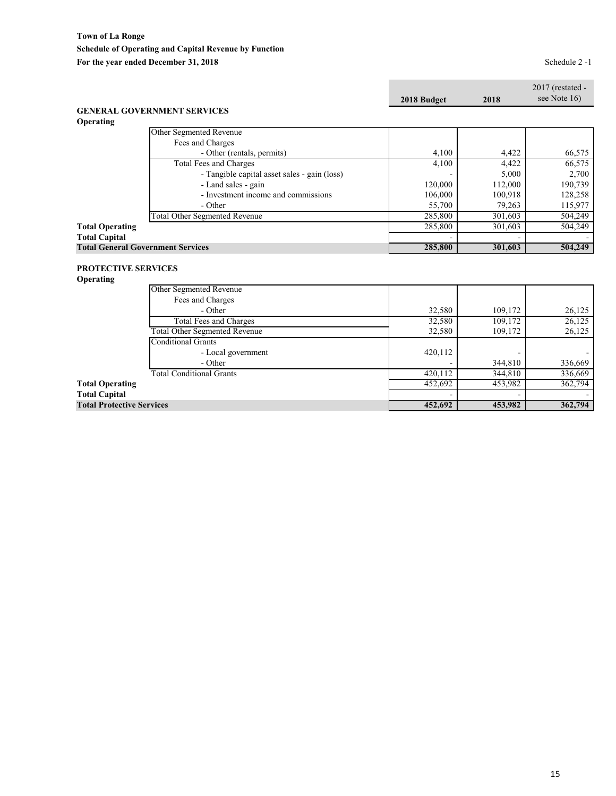|                            |                                              |             |         | $2017$ (restated -<br>see Note 16) |
|----------------------------|----------------------------------------------|-------------|---------|------------------------------------|
|                            |                                              | 2018 Budget | 2018    |                                    |
|                            | <b>GENERAL GOVERNMENT SERVICES</b>           |             |         |                                    |
| Operating                  |                                              |             |         |                                    |
|                            | Other Segmented Revenue                      |             |         |                                    |
|                            | Fees and Charges                             |             |         |                                    |
|                            | - Other (rentals, permits)                   | 4,100       | 4,422   | 66,575                             |
|                            | Total Fees and Charges                       | 4,100       | 4,422   | 66,575                             |
|                            | - Tangible capital asset sales - gain (loss) |             | 5,000   | 2,700                              |
|                            | - Land sales - gain                          | 120,000     | 112,000 | 190,739                            |
|                            | - Investment income and commissions          | 106,000     | 100,918 | 128,258                            |
|                            | - Other                                      | 55,700      | 79,263  | 115,977                            |
|                            | <b>Total Other Segmented Revenue</b>         | 285,800     | 301,603 | 504,249                            |
| <b>Total Operating</b>     |                                              | 285,800     | 301,603 | 504,249                            |
| <b>Total Capital</b>       |                                              |             |         |                                    |
|                            | <b>Total General Government Services</b>     | 285,800     | 301,603 | 504,249                            |
|                            |                                              |             |         |                                    |
| <b>PROTECTIVE SERVICES</b> |                                              |             |         |                                    |
| Operating                  |                                              |             |         |                                    |
|                            | Other Segmented Revenue                      |             |         |                                    |
|                            | Fees and Charges                             |             |         |                                    |
|                            | - Other                                      | 32,580      | 109,172 | 26,125                             |
|                            | Total Fees and Charges                       | 32,580      | 109,172 | 26,125                             |

| <b>Total Protective Services</b>     | 452,692 | 453,982 | 362,794 |
|--------------------------------------|---------|---------|---------|
| <b>Total Capital</b>                 |         |         |         |
| <b>Total Operating</b>               | 452,692 | 453,982 | 362,794 |
| <b>Total Conditional Grants</b>      | 420,112 | 344,810 | 336,669 |
| - Other                              |         | 344,810 | 336,669 |
| - Local government                   | 420,112 |         |         |
| <b>Conditional Grants</b>            |         |         |         |
| <b>Total Other Segmented Revenue</b> | 32.580  | 109,172 | 26,125  |
| Total Fees and Charges               | 32,580  | 109,172 | 26,125  |
| - Other                              | 34.JOU  | 109.172 | 20.12J  |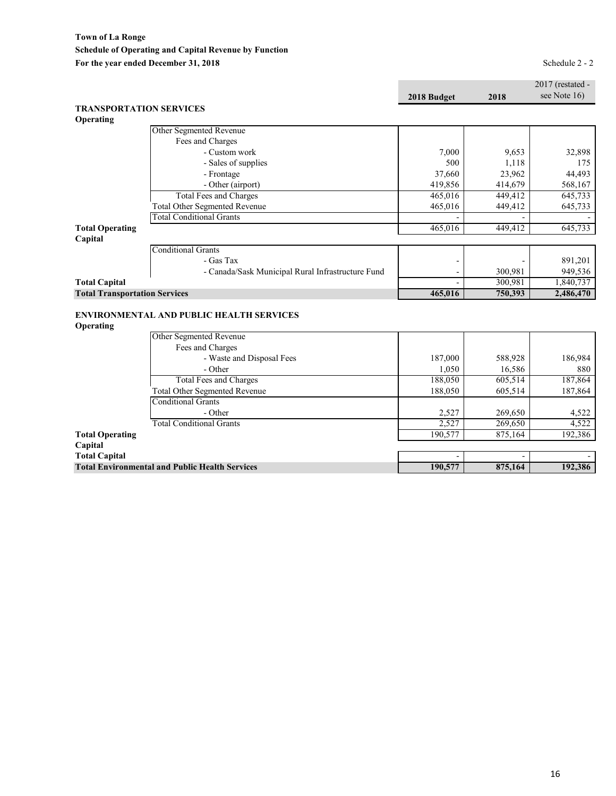**Town of La Ronge Schedule of Operating and Capital Revenue by Function** For the year ended December 31, 2018<br>
Schedule 2 - 2

|                                      |                                                   |                      |         | 2017 (restated - |
|--------------------------------------|---------------------------------------------------|----------------------|---------|------------------|
|                                      |                                                   | 2018 Budget          | 2018    | see Note 16)     |
|                                      | <b>TRANSPORTATION SERVICES</b>                    |                      |         |                  |
| Operating                            |                                                   |                      |         |                  |
|                                      | Other Segmented Revenue                           |                      |         |                  |
|                                      | Fees and Charges                                  |                      |         |                  |
|                                      | - Custom work                                     | 7,000                | 9,653   | 32,898           |
|                                      | - Sales of supplies                               | 500                  | 1,118   | 175              |
|                                      | - Frontage                                        | 37.660               | 23,962  | 44,493           |
|                                      | - Other (airport)                                 | 419,856              | 414,679 | 568,167          |
|                                      | <b>Total Fees and Charges</b>                     | 465,016              | 449.412 | 645,733          |
|                                      | <b>Total Other Segmented Revenue</b>              | 465,016              | 449,412 | 645,733          |
|                                      | <b>Total Conditional Grants</b>                   |                      |         |                  |
| <b>Total Operating</b>               |                                                   | 465,016              | 449,412 | 645,733          |
| Capital                              |                                                   |                      |         |                  |
|                                      | <b>Conditional Grants</b>                         |                      |         |                  |
|                                      | - Gas Tax                                         |                      |         | 891,201          |
|                                      | - Canada/Sask Municipal Rural Infrastructure Fund |                      | 300,981 | 949,536          |
| <b>Total Capital</b>                 |                                                   |                      | 300,981 | 1,840,737        |
| <b>Total Transportation Services</b> |                                                   | 465,016              | 750,393 | 2,486,470        |
|                                      |                                                   |                      |         |                  |
|                                      | <b>ENVIRONMENTAL AND PUBLIC HEALTH SERVICES</b>   |                      |         |                  |
| Operating                            |                                                   |                      |         |                  |
|                                      | Other Segmented Revenue                           |                      |         |                  |
|                                      | Fees and Charges                                  |                      |         |                  |
|                                      | - Waste and Disposal Fees                         | 187,000              | 588,928 | 186,984          |
|                                      | - Other                                           | 1,050                | 16,586  | 880              |
|                                      | <b>Total Fees and Charges</b>                     | 188,050              | 605,514 | 187,864          |
|                                      | <b>Total Other Segmented Revenue</b>              | 188,050              | 605,514 | 187,864          |
|                                      | <b>Conditional Grants</b>                         |                      |         |                  |
|                                      | $\sim$ $\cdot$                                    | $\sim$ $\sim$ $\sim$ | 20000   | $1 - 22$         |

| - Other                                               | 2,527   | 269,650 | 4.522   |
|-------------------------------------------------------|---------|---------|---------|
| <b>Total Conditional Grants</b>                       | 2,527   | 269,650 | 4.522   |
| <b>Total Operating</b>                                | 190.577 | 875,164 | 192,386 |
| Capital                                               |         |         |         |
| <b>Total Capital</b>                                  |         |         |         |
| <b>Total Environmental and Public Health Services</b> | 190,577 | 875,164 | 192,386 |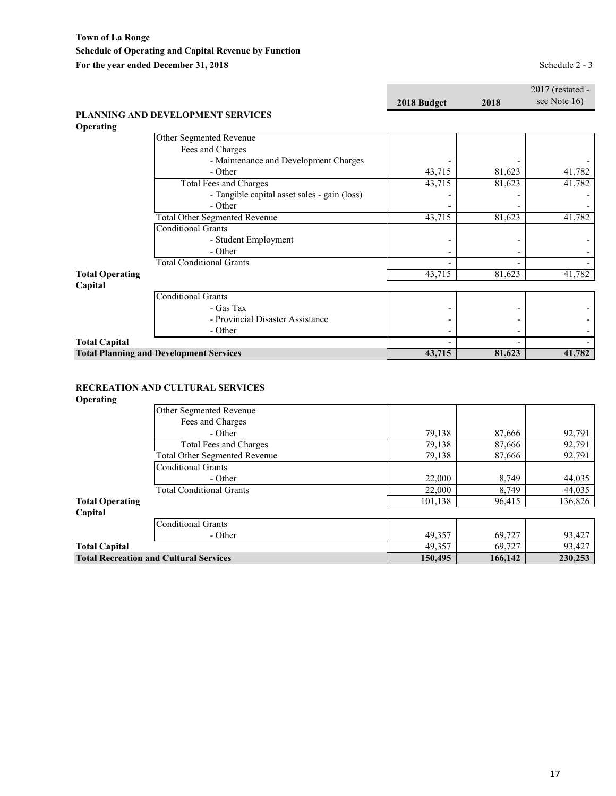|                            |             |      | $2017$ (restated - |
|----------------------------|-------------|------|--------------------|
|                            | 2018 Budget | 2018 | see Note $16$      |
| <b>EVELOPMENT SERVICES</b> |             |      |                    |

#### **PLANNING AND DE Operating**

| 43,715 | 81,623 | 41,782 |
|--------|--------|--------|
| 43,715 | 81,623 | 41,782 |
|        |        |        |
|        |        |        |
| 43,715 | 81,623 | 41,782 |
|        |        |        |
|        |        |        |
|        |        |        |
|        |        |        |
| 43,715 | 81,623 | 41,782 |
|        |        |        |
|        |        |        |
|        |        |        |
|        |        |        |
|        |        |        |
|        |        |        |
| 43,715 | 81,623 | 41,782 |
|        |        |        |

#### **RECREATION AND CULTURAL SERVICES**

#### **Operating**

|                        | Other Segmented Revenue                       |         |         |         |
|------------------------|-----------------------------------------------|---------|---------|---------|
|                        | Fees and Charges                              |         |         |         |
|                        | - Other                                       | 79,138  | 87,666  | 92,791  |
|                        | Total Fees and Charges                        | 79,138  | 87,666  | 92,791  |
|                        | Total Other Segmented Revenue                 | 79,138  | 87,666  | 92,791  |
|                        | Conditional Grants                            |         |         |         |
|                        | - Other                                       | 22,000  | 8,749   | 44,035  |
|                        | <b>Total Conditional Grants</b>               | 22,000  | 8,749   | 44,035  |
| <b>Total Operating</b> |                                               | 101,138 | 96,415  | 136,826 |
| Capital                |                                               |         |         |         |
|                        | Conditional Grants                            |         |         |         |
|                        | - Other                                       | 49,357  | 69,727  | 93,427  |
| <b>Total Capital</b>   |                                               | 49,357  | 69,727  | 93,427  |
|                        | <b>Total Recreation and Cultural Services</b> | 150,495 | 166,142 | 230,253 |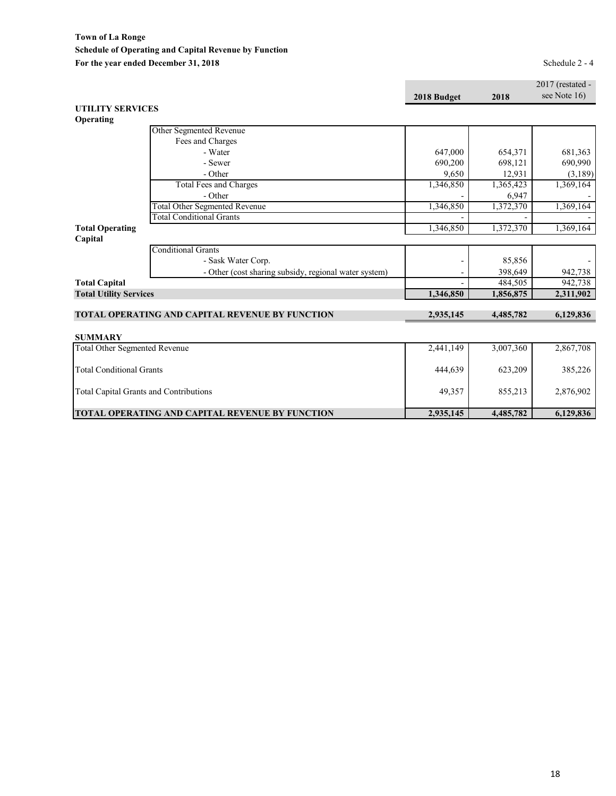**Town of La Ronge Schedule of Operating and Capital Revenue by Function** For the year ended December 31, 2018<br>
Schedule 2 - 4

|                                      |                                                        |             |           | 2017 (restated - |
|--------------------------------------|--------------------------------------------------------|-------------|-----------|------------------|
|                                      |                                                        | 2018 Budget | 2018      | see Note 16)     |
| <b>UTILITY SERVICES</b>              |                                                        |             |           |                  |
| Operating                            |                                                        |             |           |                  |
|                                      | Other Segmented Revenue                                |             |           |                  |
|                                      | Fees and Charges                                       |             |           |                  |
|                                      | - Water                                                | 647,000     | 654,371   | 681,363          |
|                                      | - Sewer                                                | 690,200     | 698,121   | 690,990          |
|                                      | - Other                                                | 9,650       | 12,931    | (3,189)          |
|                                      | <b>Total Fees and Charges</b>                          | 1,346,850   | 1,365,423 | 1,369,164        |
|                                      | - Other                                                |             | 6,947     |                  |
|                                      | <b>Total Other Segmented Revenue</b>                   | 1,346,850   | 1,372,370 | 1,369,164        |
|                                      | <b>Total Conditional Grants</b>                        |             |           |                  |
| <b>Total Operating</b>               |                                                        | 1,346,850   | 1,372,370 | 1,369,164        |
| Capital                              |                                                        |             |           |                  |
|                                      | <b>Conditional Grants</b>                              |             |           |                  |
|                                      | - Sask Water Corp.                                     |             | 85,856    |                  |
|                                      | - Other (cost sharing subsidy, regional water system)  |             | 398,649   | 942,738          |
| <b>Total Capital</b>                 |                                                        |             | 484.505   | 942,738          |
| <b>Total Utility Services</b>        |                                                        | 1,346,850   | 1,856,875 | 2,311,902        |
|                                      |                                                        |             |           |                  |
|                                      | <b>TOTAL OPERATING AND CAPITAL REVENUE BY FUNCTION</b> | 2,935,145   | 4,485,782 | 6,129,836        |
|                                      |                                                        |             |           |                  |
| <b>SUMMARY</b>                       |                                                        |             |           |                  |
| <b>Total Other Segmented Revenue</b> |                                                        | 2,441,149   | 3,007,360 | 2,867,708        |
| <b>Total Conditional Grants</b>      |                                                        | 444,639     | 623,209   | 385,226          |
|                                      | <b>Total Capital Grants and Contributions</b>          | 49,357      | 855,213   | 2,876,902        |
|                                      | <b>TOTAL OPERATING AND CAPITAL REVENUE BY FUNCTION</b> | 2,935,145   | 4,485,782 | 6,129,836        |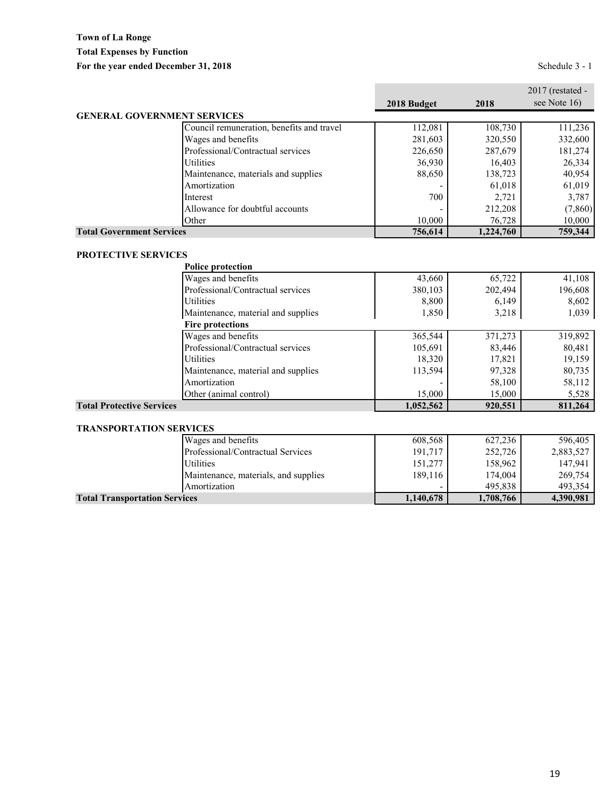|                                    |                                           |             |           | $2017$ (restated - |
|------------------------------------|-------------------------------------------|-------------|-----------|--------------------|
|                                    |                                           | 2018 Budget | 2018      | see Note $16$      |
| <b>GENERAL GOVERNMENT SERVICES</b> |                                           |             |           |                    |
|                                    | Council remuneration, benefits and travel | 112,081     | 108,730   | 111,236            |
|                                    | Wages and benefits                        | 281,603     | 320,550   | 332,600            |
|                                    | Professional/Contractual services         | 226,650     | 287,679   | 181,274            |
|                                    | <b>Utilities</b>                          | 36,930      | 16,403    | 26,334             |
|                                    | Maintenance, materials and supplies       | 88,650      | 138,723   | 40,954             |
|                                    | Amortization                              |             | 61,018    | 61,019             |
|                                    | Interest                                  | 700         | 2.721     | 3,787              |
|                                    | Allowance for doubtful accounts           |             | 212,208   | (7,860)            |
|                                    | Other                                     | 10,000      | 76,728    | 10,000             |
| <b>Total Government Services</b>   |                                           | 756,614     | 1,224,760 | 759,344            |

### **PROTECTIVE SERVICES**

| <b>Police protection</b>           |           |         |         |
|------------------------------------|-----------|---------|---------|
| Wages and benefits                 | 43,660    | 65,722  | 41,108  |
| Professional/Contractual services  | 380,103   | 202,494 | 196,608 |
| <b>Utilities</b>                   | 8,800     | 6,149   | 8,602   |
| Maintenance, material and supplies | 1,850     | 3,218   | 1,039   |
| <b>Fire protections</b>            |           |         |         |
| Wages and benefits                 | 365,544   | 371,273 | 319,892 |
| Professional/Contractual services  | 105,691   | 83,446  | 80,481  |
| <b>Utilities</b>                   | 18,320    | 17,821  | 19,159  |
| Maintenance, material and supplies | 113,594   | 97,328  | 80,735  |
| Amortization                       |           | 58,100  | 58,112  |
| Other (animal control)             | 15,000    | 15,000  | 5,528   |
| <b>Total Protective Services</b>   | 1,052,562 | 920,551 | 811,264 |

#### **TRANSPORTATION SERVICES**

| Wages and benefits                   | 608,568                  | 627,236   | 596,405   |
|--------------------------------------|--------------------------|-----------|-----------|
| Professional/Contractual Services    | 191.717                  | 252,726   | 2,883,527 |
| <b>Utilities</b>                     | 151,277                  | 158,962   | 147.941   |
| Maintenance, materials, and supplies | 189,116                  | 174,004   | 269,754   |
| Amortization                         | $\overline{\phantom{0}}$ | 495.838   | 493,354   |
| <b>Total Transportation Services</b> | 1,140,678                | 1,708,766 | 4,390,981 |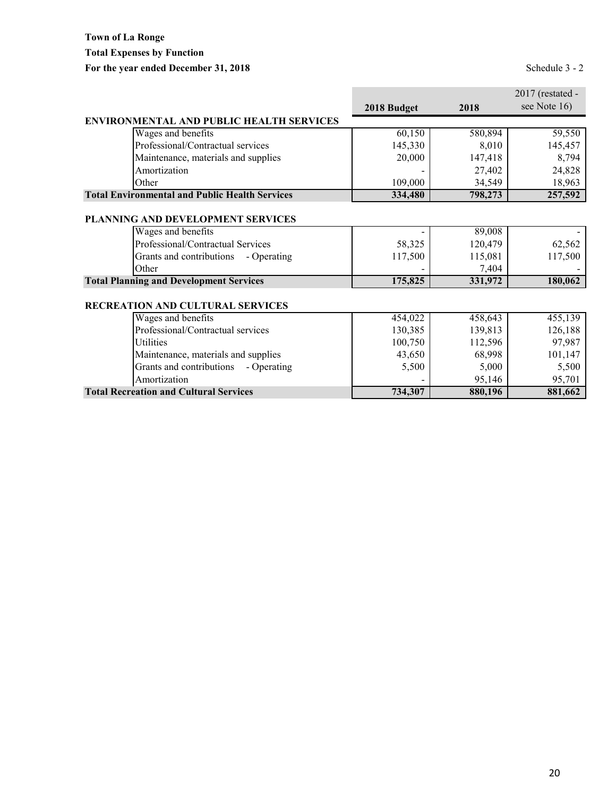## **Town of La Ronge Total Expenses by Function** For the year ended December 31, 2018<br>
Schedule 3 - 2

|                                                       |             |         | 2017 (restated - |
|-------------------------------------------------------|-------------|---------|------------------|
|                                                       | 2018 Budget | 2018    | see Note 16)     |
| <b>ENVIRONMENTAL AND PUBLIC HEALTH SERVICES</b>       |             |         |                  |
| Wages and benefits                                    | 60,150      | 580,894 | 59,550           |
| Professional/Contractual services                     | 145,330     | 8,010   | 145,457          |
| Maintenance, materials and supplies                   | 20,000      | 147,418 | 8,794            |
| Amortization                                          |             | 27,402  | 24,828           |
| Other                                                 | 109,000     | 34,549  | 18,963           |
| <b>Total Environmental and Public Health Services</b> | 334,480     | 798,273 | 257,592          |
|                                                       |             |         |                  |
| PLANNING AND DEVELOPMENT SERVICES                     |             |         |                  |
| Wages and benefits                                    |             | 89,008  |                  |
| Professional/Contractual Services                     | 58,325      | 120,479 | 62,562           |
| Grants and contributions<br>- Operating               | 117,500     | 115,081 | 117,500          |
| Other                                                 |             | 7,404   |                  |
| <b>Total Planning and Development Services</b>        | 175,825     | 331,972 | 180,062          |
|                                                       |             |         |                  |
| RECREATION AND CULTURAL SERVICES                      |             |         |                  |
| Wages and benefits                                    | 454,022     | 458,643 | 455,139          |
| Professional/Contractual services                     | 130,385     | 139,813 | 126,188          |
| Utilities                                             | 100,750     | 112,596 | 97,987           |
| Maintenance, materials and supplies                   | 43,650      | 68,998  | 101,147          |
| Grants and contributions<br>- Operating               | 5,500       | 5,000   | 5,500            |
| Amortization                                          |             | 95,146  | 95,701           |
| <b>Total Recreation and Cultural Services</b>         | 734,307     | 880,196 | 881,662          |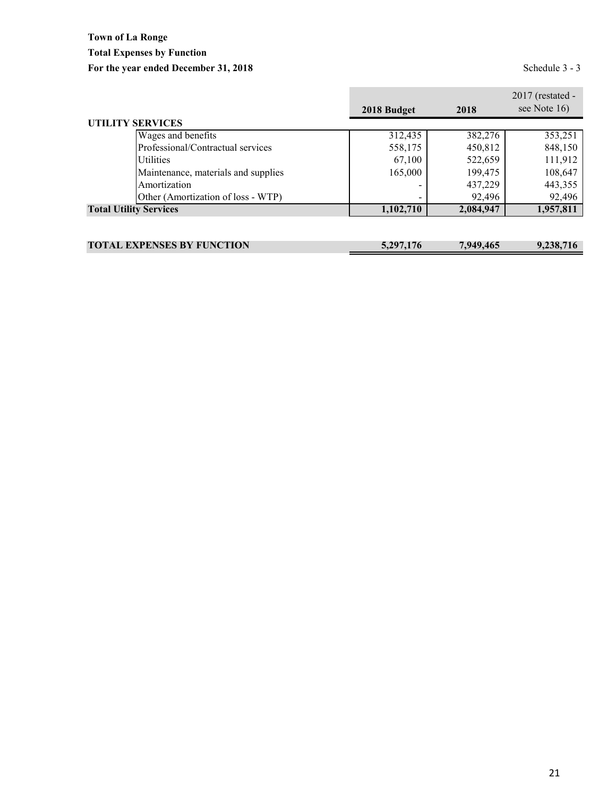## **Town of La Ronge Total Expenses by Function** For the year ended December 31, 2018<br>Schedule 3 - 3

|                                     | 2018 Budget | 2018      | $2017$ (restated -<br>see Note 16) |
|-------------------------------------|-------------|-----------|------------------------------------|
| <b>UTILITY SERVICES</b>             |             |           |                                    |
| Wages and benefits                  | 312,435     | 382,276   | 353,251                            |
| Professional/Contractual services   | 558,175     | 450,812   | 848,150                            |
| <b>Utilities</b>                    | 67,100      | 522,659   | 111,912                            |
| Maintenance, materials and supplies | 165,000     | 199,475   | 108,647                            |
| Amortization                        |             | 437,229   | 443,355                            |
| Other (Amortization of loss - WTP)  |             | 92,496    | 92,496                             |
| <b>Total Utility Services</b>       | 1,102,710   | 2,084,947 | 1,957,811                          |
|                                     |             |           |                                    |
|                                     |             |           |                                    |

| <b>TOTAL EXPENSES BY FUNCTION</b> | 5,297,176 | 7,949,465 | 9,238,716 |
|-----------------------------------|-----------|-----------|-----------|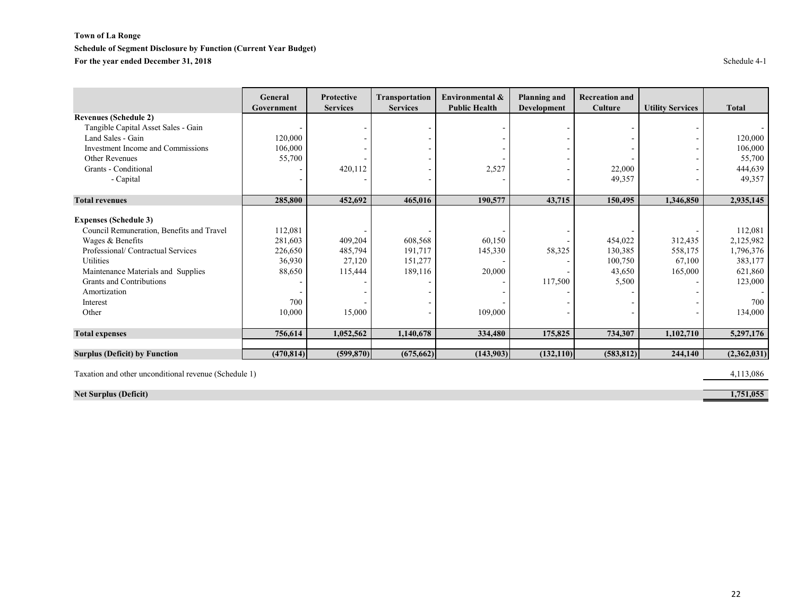#### **Town of La Ronge Schedule of Segment Disclosure by Function (Current Year Budget) For the year ended December 31, 2018** Schedule 4-1

|                                           | General    | <b>Protective</b> | Transportation  | Environmental &      | <b>Planning and</b> | <b>Recreation and</b> |                         |              |
|-------------------------------------------|------------|-------------------|-----------------|----------------------|---------------------|-----------------------|-------------------------|--------------|
|                                           | Government | <b>Services</b>   | <b>Services</b> | <b>Public Health</b> | Development         | Culture               | <b>Utility Services</b> | <b>Total</b> |
| <b>Revenues (Schedule 2)</b>              |            |                   |                 |                      |                     |                       |                         |              |
| Tangible Capital Asset Sales - Gain       |            |                   |                 |                      |                     |                       |                         |              |
| Land Sales - Gain                         | 120,000    |                   |                 |                      |                     |                       |                         | 120,000      |
| Investment Income and Commissions         | 106,000    |                   |                 |                      |                     |                       |                         | 106,000      |
| Other Revenues                            | 55,700     |                   |                 |                      |                     |                       |                         | 55,700       |
| Grants - Conditional                      |            | 420,112           |                 | 2,527                |                     | 22,000                |                         | 444,639      |
| - Capital                                 |            |                   |                 |                      |                     | 49,357                |                         | 49,357       |
|                                           |            |                   |                 |                      |                     |                       |                         |              |
| <b>Total revenues</b>                     | 285,800    | 452,692           | 465,016         | 190,577              | 43,715              | 150,495               | 1,346,850               | 2,935,145    |
| <b>Expenses (Schedule 3)</b>              |            |                   |                 |                      |                     |                       |                         |              |
| Council Remuneration, Benefits and Travel | 112,081    |                   |                 |                      |                     |                       |                         | 112,081      |
| Wages & Benefits                          | 281,603    | 409,204           | 608,568         | 60,150               |                     | 454,022               | 312,435                 | 2,125,982    |
| Professional/Contractual Services         | 226,650    | 485,794           | 191,717         | 145,330              | 58,325              | 130,385               | 558,175                 | 1,796,376    |
| Utilities                                 | 36,930     | 27,120            | 151,277         |                      |                     | 100,750               | 67,100                  | 383,177      |
| Maintenance Materials and Supplies        | 88,650     | 115,444           | 189,116         | 20,000               |                     | 43,650                | 165,000                 | 621,860      |
| Grants and Contributions                  |            |                   |                 |                      | 117,500             | 5,500                 |                         | 123,000      |
| Amortization                              |            |                   |                 |                      |                     |                       |                         |              |
| Interest                                  | 700        |                   |                 |                      |                     |                       |                         | 700          |
| Other                                     | 10,000     | 15,000            |                 | 109,000              |                     |                       |                         | 134,000      |
| <b>Total expenses</b>                     | 756,614    | 1,052,562         | 1,140,678       | 334,480              | 175,825             | 734,307               | 1,102,710               | 5,297,176    |
|                                           |            |                   |                 |                      |                     |                       |                         |              |
| <b>Surplus (Deficit) by Function</b>      | (470, 814) | (599, 870)        | (675, 662)      | (143,903)            | (132, 110)          | (583, 812)            | 244,140                 | (2,362,031)  |

Taxation and other unconditional revenue (Schedule 1) 4,113,086

**Net Surplus (Deficit)** 1,751,055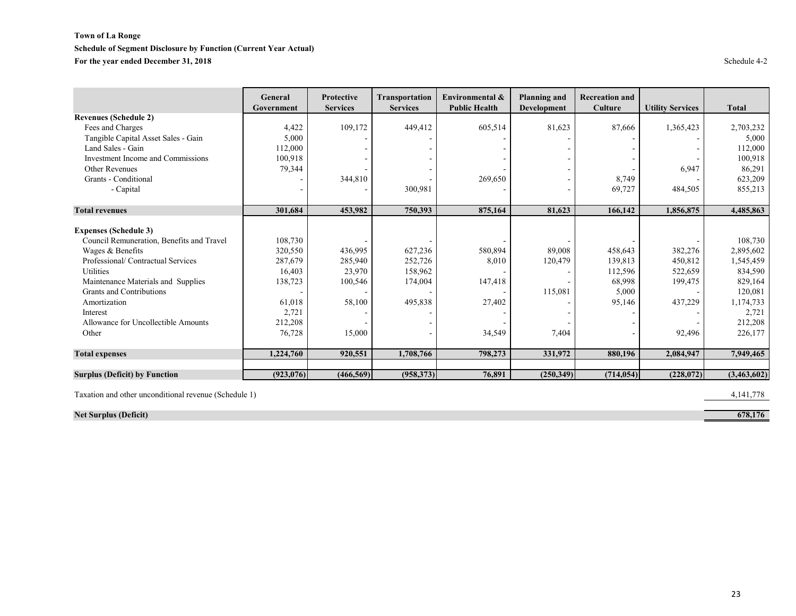#### **Town of La Ronge Schedule of Segment Disclosure by Function (Current Year Actual) For the year ended December 31, 2018** Schedule 4-2

|                                           | General    | <b>Protective</b> | <b>Transportation</b> | Environmental &      | <b>Planning and</b> | <b>Recreation and</b> |                         |              |
|-------------------------------------------|------------|-------------------|-----------------------|----------------------|---------------------|-----------------------|-------------------------|--------------|
|                                           | Government | <b>Services</b>   | <b>Services</b>       | <b>Public Health</b> | Development         | Culture               | <b>Utility Services</b> | <b>Total</b> |
| <b>Revenues (Schedule 2)</b>              |            |                   |                       |                      |                     |                       |                         |              |
| Fees and Charges                          | 4,422      | 109,172           | 449,412               | 605,514              | 81,623              | 87,666                | 1,365,423               | 2,703,232    |
| Tangible Capital Asset Sales - Gain       | 5,000      |                   |                       |                      |                     |                       |                         | 5,000        |
| Land Sales - Gain                         | 112,000    |                   |                       |                      |                     |                       |                         | 112,000      |
| Investment Income and Commissions         | 100,918    |                   |                       |                      |                     |                       |                         | 100,918      |
| Other Revenues                            | 79,344     |                   |                       |                      |                     |                       | 6,947                   | 86,291       |
| Grants - Conditional                      |            | 344,810           |                       | 269,650              |                     | 8,749                 |                         | 623,209      |
| - Capital                                 |            |                   | 300,981               |                      |                     | 69,727                | 484,505                 | 855,213      |
|                                           |            |                   |                       |                      |                     |                       |                         |              |
| <b>Total revenues</b>                     | 301,684    | 453,982           | 750,393               | 875,164              | 81,623              | 166,142               | 1,856,875               | 4,485,863    |
| <b>Expenses (Schedule 3)</b>              |            |                   |                       |                      |                     |                       |                         |              |
| Council Remuneration, Benefits and Travel | 108,730    |                   |                       |                      |                     |                       |                         | 108,730      |
| Wages & Benefits                          | 320,550    | 436,995           | 627,236               | 580,894              | 89,008              | 458,643               | 382,276                 | 2,895,602    |
| Professional/ Contractual Services        | 287,679    | 285,940           | 252,726               | 8,010                | 120,479             | 139,813               | 450,812                 | 1,545,459    |
| Utilities                                 | 16,403     | 23,970            | 158,962               |                      |                     | 112,596               | 522,659                 | 834,590      |
| Maintenance Materials and Supplies        | 138,723    | 100,546           | 174,004               | 147,418              |                     | 68,998                | 199,475                 | 829,164      |
| Grants and Contributions                  |            |                   |                       |                      | 115,081             | 5,000                 |                         | 120,081      |
| Amortization                              | 61,018     | 58,100            | 495,838               | 27,402               |                     | 95,146                | 437,229                 | 1,174,733    |
| Interest                                  | 2,721      |                   |                       |                      |                     |                       |                         | 2,721        |
| Allowance for Uncollectible Amounts       | 212,208    |                   |                       |                      |                     |                       |                         | 212,208      |
| Other                                     | 76,728     | 15,000            |                       | 34,549               | 7,404               |                       | 92,496                  | 226,177      |
| <b>Total expenses</b>                     | 1,224,760  | 920,551           | 1,708,766             | 798,273              | 331,972             | 880,196               | 2,084,947               | 7,949,465    |
|                                           |            |                   |                       |                      |                     |                       |                         |              |
| <b>Surplus (Deficit) by Function</b>      | (923, 076) | (466, 569)        | (958, 373)            | 76,891               | (250, 349)          | (714, 054)            | (228,072)               | (3,463,602)  |

Taxation and other unconditional revenue (Schedule 1) 4,141,778

**Net Surplus (Deficit)** 678,176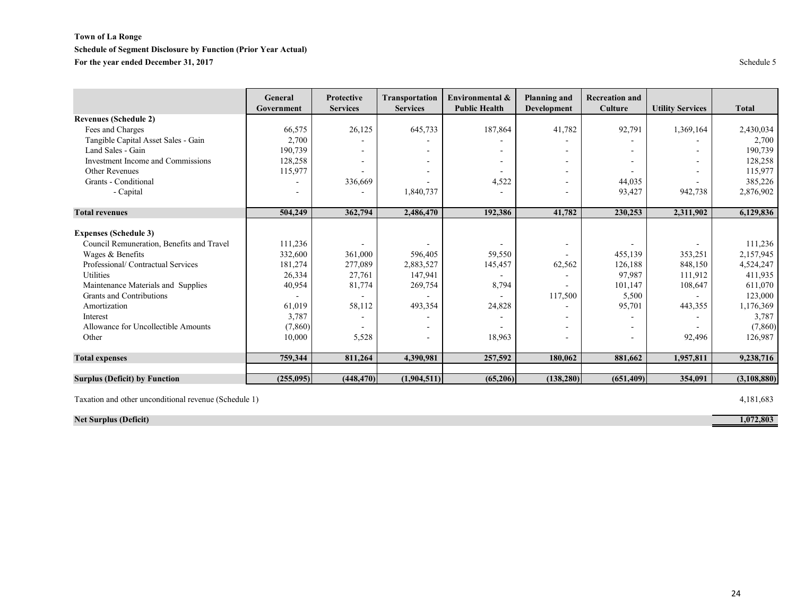#### **Town of La Ronge**

#### **Schedule of Segment Disclosure by Function (Prior Year Actual)**

For the year ended December 31, 2017 Schedule 5

|                                           | General<br>Government | <b>Protective</b><br><b>Services</b> | <b>Transportation</b><br><b>Services</b> | Environmental &<br><b>Public Health</b> | <b>Planning and</b><br><b>Development</b> | <b>Recreation and</b><br>Culture | <b>Utility Services</b> | <b>Total</b>  |
|-------------------------------------------|-----------------------|--------------------------------------|------------------------------------------|-----------------------------------------|-------------------------------------------|----------------------------------|-------------------------|---------------|
| <b>Revenues (Schedule 2)</b>              |                       |                                      |                                          |                                         |                                           |                                  |                         |               |
| Fees and Charges                          | 66,575                | 26,125                               | 645,733                                  | 187,864                                 | 41,782                                    | 92,791                           | 1,369,164               | 2,430,034     |
| Tangible Capital Asset Sales - Gain       | 2,700                 |                                      |                                          |                                         |                                           |                                  |                         | 2,700         |
| Land Sales - Gain                         | 190,739               |                                      |                                          |                                         | $\overline{\phantom{a}}$                  |                                  |                         | 190,739       |
| Investment Income and Commissions         | 128,258               |                                      |                                          |                                         | $\overline{\phantom{a}}$                  |                                  | ۰                       | 128,258       |
| Other Revenues                            | 115,977               |                                      |                                          |                                         |                                           |                                  |                         | 115,977       |
| Grants - Conditional                      |                       | 336,669                              |                                          | 4,522                                   |                                           | 44,035                           |                         | 385,226       |
| - Capital                                 |                       |                                      | 1,840,737                                |                                         |                                           | 93,427                           | 942,738                 | 2,876,902     |
| <b>Total revenues</b>                     | 504,249               | 362,794                              | 2,486,470                                | 192,386                                 | 41,782                                    | 230,253                          | 2,311,902               | 6,129,836     |
| <b>Expenses (Schedule 3)</b>              |                       |                                      |                                          |                                         |                                           |                                  |                         |               |
| Council Remuneration, Benefits and Travel | 111,236               |                                      |                                          |                                         | $\overline{\phantom{a}}$                  |                                  |                         | 111,236       |
| Wages & Benefits                          | 332,600               | 361,000                              | 596,405                                  | 59,550                                  |                                           | 455,139                          | 353,251                 | 2,157,945     |
| Professional/ Contractual Services        | 181,274               | 277,089                              | 2,883,527                                | 145,457                                 | 62,562                                    | 126,188                          | 848,150                 | 4,524,247     |
| Utilities                                 | 26,334                | 27,761                               | 147,941                                  |                                         |                                           | 97,987                           | 111,912                 | 411,935       |
| Maintenance Materials and Supplies        | 40,954                | 81,774                               | 269,754                                  | 8,794                                   |                                           | 101,147                          | 108,647                 | 611,070       |
| Grants and Contributions                  |                       |                                      |                                          |                                         | 117,500                                   | 5,500                            |                         | 123,000       |
| Amortization                              | 61,019                | 58,112                               | 493,354                                  | 24,828                                  |                                           | 95,701                           | 443,355                 | 1,176,369     |
| Interest                                  | 3,787                 |                                      |                                          |                                         |                                           |                                  |                         | 3,787         |
| Allowance for Uncollectible Amounts       | (7, 860)              |                                      |                                          |                                         | $\overline{\phantom{a}}$                  |                                  |                         | (7,860)       |
| Other                                     | 10,000                | 5,528                                |                                          | 18,963                                  |                                           |                                  | 92,496                  | 126,987       |
| <b>Total expenses</b>                     | 759,344               | 811,264                              | 4,390,981                                | 257,592                                 | 180,062                                   | 881,662                          | 1,957,811               | 9,238,716     |
| <b>Surplus (Deficit) by Function</b>      | (255,095)             | (448, 470)                           | (1,904,511)                              | (65,206)                                | (138, 280)                                | (651, 409)                       | 354,091                 | (3, 108, 880) |

Taxation and other unconditional revenue (Schedule 1) 4,181,683

**Net Surplus (Deficit)** 1,072,803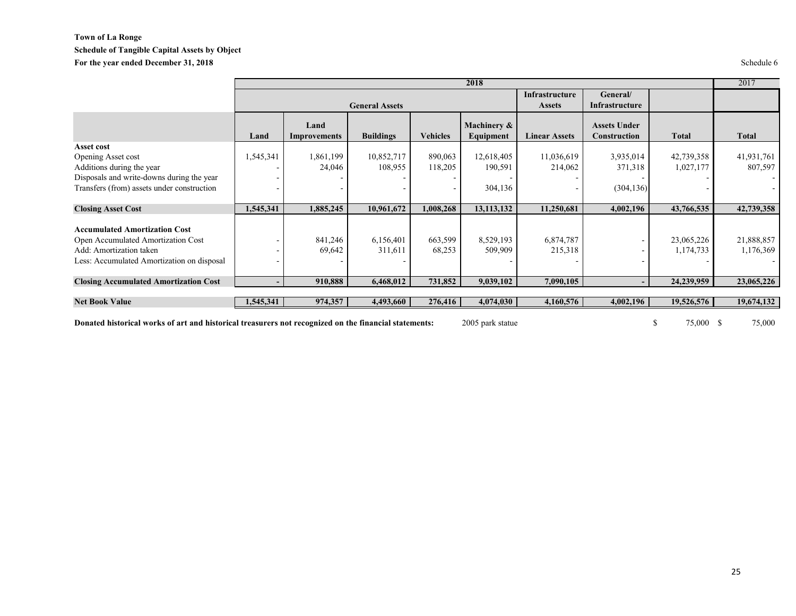#### **Town of La Ronge Schedule of Tangible Capital Assets by Object** For the year ended December 31, 2018 Schedule 6

|                                              |           |                       |                  |                 | 2018                     |                                 |                                     |              | 2017         |
|----------------------------------------------|-----------|-----------------------|------------------|-----------------|--------------------------|---------------------------------|-------------------------------------|--------------|--------------|
|                                              |           | <b>General Assets</b> |                  |                 |                          | Infrastructure<br><b>Assets</b> |                                     |              |              |
|                                              | Land      | Land<br>Improvements  | <b>Buildings</b> | <b>Vehicles</b> | Machinery &<br>Equipment | <b>Linear Assets</b>            | <b>Assets Under</b><br>Construction | <b>Total</b> | <b>Total</b> |
| Asset cost                                   |           |                       |                  |                 |                          |                                 |                                     |              |              |
| Opening Asset cost                           | 1,545,341 | 1,861,199             | 10,852,717       | 890,063         | 12,618,405               | 11,036,619                      | 3,935,014                           | 42,739,358   | 41,931,761   |
| Additions during the year                    |           | 24,046                | 108,955          | 118,205         | 190,591                  | 214,062                         | 371,318                             | 1,027,177    | 807,597      |
| Disposals and write-downs during the year    |           |                       |                  |                 |                          |                                 |                                     |              |              |
| Transfers (from) assets under construction   |           |                       |                  |                 | 304,136                  |                                 | (304, 136)                          |              |              |
| <b>Closing Asset Cost</b>                    | 1,545,341 | 1,885,245             | 10,961,672       | 1,008,268       | 13, 113, 132             | 11,250,681                      | 4,002,196                           | 43,766,535   | 42,739,358   |
| <b>Accumulated Amortization Cost</b>         |           |                       |                  |                 |                          |                                 |                                     |              |              |
| Open Accumulated Amortization Cost           |           | 841,246               | 6,156,401        | 663,599         | 8,529,193                | 6,874,787                       |                                     | 23,065,226   | 21,888,857   |
| Add: Amortization taken                      |           | 69,642                | 311,611          | 68,253          | 509,909                  | 215,318                         |                                     | 1,174,733    | 1,176,369    |
| Less: Accumulated Amortization on disposal   |           |                       |                  |                 |                          |                                 |                                     |              |              |
| <b>Closing Accumulated Amortization Cost</b> |           | 910,888               | 6,468,012        | 731,852         | 9,039,102                | 7,090,105                       |                                     | 24,239,959   | 23,065,226   |
| <b>Net Book Value</b>                        | 1,545,341 | 974,357               | 4,493,660        | 276,416         | 4,074,030                | 4,160,576                       | 4,002,196                           | 19,526,576   | 19,674,132   |

**Donated historical works of art and historical treasurers not recognized on the financial statements:** 2005 park statue \$ 75,000 \$ 75,000 \$ 75,000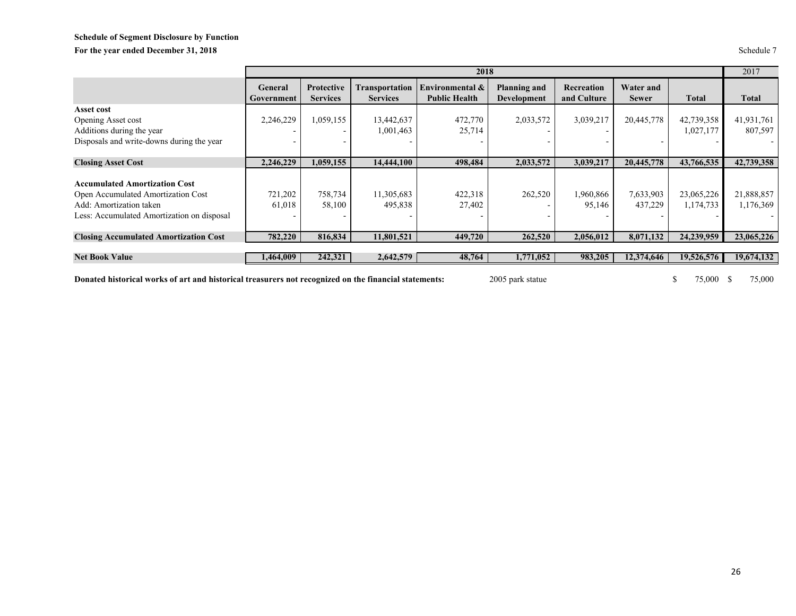## **Schedule of Segment Disclosure by Function** For the year ended December 31, 2018 Schedule 7

|                                                                                                                                                     |                       |                                      |                                   | 2018                                    |                                           |                           |                                  |                         | 2017                    |
|-----------------------------------------------------------------------------------------------------------------------------------------------------|-----------------------|--------------------------------------|-----------------------------------|-----------------------------------------|-------------------------------------------|---------------------------|----------------------------------|-------------------------|-------------------------|
|                                                                                                                                                     | General<br>Government | <b>Protective</b><br><b>Services</b> | Transportation<br><b>Services</b> | Environmental &<br><b>Public Health</b> | <b>Planning and</b><br><b>Development</b> | Recreation<br>and Culture | <b>Water and</b><br><b>Sewer</b> | <b>Total</b>            | <b>Total</b>            |
| Asset cost                                                                                                                                          |                       |                                      |                                   |                                         |                                           |                           |                                  |                         |                         |
| Opening Asset cost                                                                                                                                  | 2,246,229             | 1,059,155                            | 13,442,637                        | 472,770                                 | 2,033,572                                 | 3,039,217                 | 20,445,778                       | 42,739,358              | 41,931,761              |
| Additions during the year                                                                                                                           |                       |                                      | 1,001,463                         | 25,714                                  |                                           |                           |                                  | 1,027,177               | 807,597                 |
| Disposals and write-downs during the year                                                                                                           |                       |                                      |                                   |                                         |                                           |                           |                                  |                         |                         |
|                                                                                                                                                     |                       |                                      |                                   |                                         |                                           |                           |                                  |                         |                         |
| <b>Closing Asset Cost</b>                                                                                                                           | 2,246,229             | 1,059,155                            | 14,444,100                        | 498,484                                 | 2,033,572                                 | 3,039,217                 | 20,445,778                       | 43,766,535              | 42,739,358              |
| <b>Accumulated Amortization Cost</b><br>Open Accumulated Amortization Cost<br>Add: Amortization taken<br>Less: Accumulated Amortization on disposal | 721,202<br>61,018     | 758,734<br>58,100                    | 11,305,683<br>495,838             | 422,318<br>27,402                       | 262,520                                   | 1,960,866<br>95,146       | 7,633,903<br>437,229             | 23,065,226<br>1,174,733 | 21,888,857<br>1,176,369 |
| <b>Closing Accumulated Amortization Cost</b>                                                                                                        | 782,220               | 816.834                              | 11,801,521                        | 449,720                                 | 262,520                                   | 2,056,012                 | 8,071,132                        | 24,239,959              | 23,065,226              |
|                                                                                                                                                     |                       |                                      |                                   |                                         |                                           |                           |                                  |                         |                         |
| <b>Net Book Value</b>                                                                                                                               | 1,464,009             | 242,321                              | 2,642,579                         | 48,764                                  | 1,771,052                                 | 983,205                   | 12,374,646                       | 19,526,576              | 19,674,132              |

**Donated historical works of art and historical treasurers not recognized on the financial statements:** 2005 park statue \$ 75,000 \$ 75,000 \$ 75,000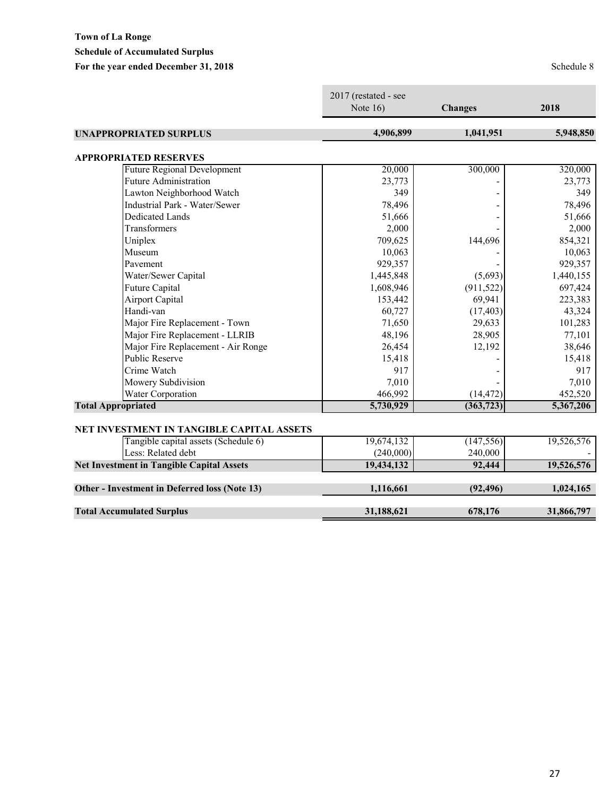## **Town of La Ronge Schedule of Accumulated Surplus** For the year ended December 31, 2018<br>
Schedule 8

|                                                  | 2017 (restated - see<br>Note $16$ ) | <b>Changes</b> | 2018       |
|--------------------------------------------------|-------------------------------------|----------------|------------|
| <b>UNAPPROPRIATED SURPLUS</b>                    | 4,906,899                           | 1,041,951      | 5,948,850  |
| <b>APPROPRIATED RESERVES</b>                     |                                     |                |            |
| <b>Future Regional Development</b>               | 20,000                              | 300,000        | 320,000    |
| <b>Future Administration</b>                     | 23,773                              |                | 23,773     |
| Lawton Neighborhood Watch                        | 349                                 |                | 349        |
| <b>Industrial Park - Water/Sewer</b>             | 78,496                              |                | 78,496     |
| <b>Dedicated Lands</b>                           | 51,666                              |                | 51,666     |
| <b>Transformers</b>                              | 2,000                               |                | 2,000      |
| Uniplex                                          | 709,625                             | 144,696        | 854,321    |
| Museum                                           | 10,063                              |                | 10,063     |
| Pavement                                         | 929,357                             |                | 929,357    |
| Water/Sewer Capital                              | 1,445,848                           | (5,693)        | 1,440,155  |
| Future Capital                                   | 1,608,946                           | (911, 522)     | 697,424    |
| <b>Airport Capital</b>                           | 153,442                             | 69,941         | 223,383    |
| Handi-van                                        | 60,727                              | (17, 403)      | 43,324     |
| Major Fire Replacement - Town                    | 71,650                              | 29,633         | 101,283    |
| Major Fire Replacement - LLRIB                   | 48,196                              | 28,905         | 77,101     |
| Major Fire Replacement - Air Ronge               | 26,454                              | 12,192         | 38,646     |
| <b>Public Reserve</b>                            | 15,418                              |                | 15,418     |
| Crime Watch                                      | 917                                 |                | 917        |
| Mowery Subdivision                               | 7,010                               |                | 7,010      |
| Water Corporation                                | 466,992                             | (14, 472)      | 452,520    |
| <b>Total Appropriated</b>                        | 5,730,929                           | (363, 723)     | 5,367,206  |
| NET INVESTMENT IN TANGIBLE CAPITAL ASSETS        |                                     |                |            |
| Tangible capital assets (Schedule 6)             | 19,674,132                          | (147, 556)     | 19,526,576 |
| Less: Related debt                               | (240,000)                           | 240,000        |            |
| <b>Net Investment in Tangible Capital Assets</b> | 19,434,132                          | 92,444         | 19,526,576 |
| Other - Investment in Deferred loss (Note 13)    | 1,116,661                           | (92, 496)      | 1,024,165  |
|                                                  |                                     |                |            |
| <b>Total Accumulated Surplus</b>                 | 31,188,621                          | 678,176        | 31,866,797 |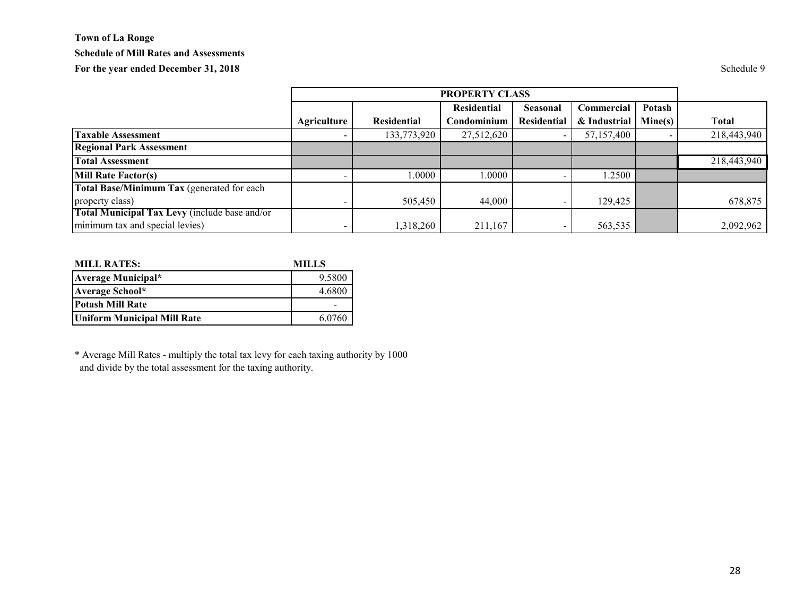## **Town of La Ronge Schedule of Mill Rates and Assessments** For the year ended December 31, 2018 Schedule 9

|                                               | <b>PROPERTY CLASS</b> |                    |                    |                    |              |         |              |
|-----------------------------------------------|-----------------------|--------------------|--------------------|--------------------|--------------|---------|--------------|
|                                               |                       |                    | <b>Residential</b> | <b>Seasonal</b>    | Commercial   | Potash  |              |
|                                               | <b>Agriculture</b>    | <b>Residential</b> | Condominium        | <b>Residential</b> | & Industrial | Mine(s) | <b>Total</b> |
| <b>Taxable Assessment</b>                     |                       | 133,773,920        | 27,512,620         |                    | 57,157,400   |         | 218,443,940  |
| <b>Regional Park Assessment</b>               |                       |                    |                    |                    |              |         |              |
| <b>Total Assessment</b>                       |                       |                    |                    |                    |              |         | 218,443,940  |
| <b>Mill Rate Factor(s)</b>                    |                       | .0000              | 0000.              |                    | 1.2500       |         |              |
| Total Base/Minimum Tax (generated for each    |                       |                    |                    |                    |              |         |              |
| property class)                               |                       | 505,450            | 44,000             |                    | 129,425      |         | 678,875      |
| Total Municipal Tax Levy (include base and/or |                       |                    |                    |                    |              |         |              |
| minimum tax and special levies)               |                       | 1,318,260          | 211,167            |                    | 563,535      |         | 2,092,962    |

| <b>MILL RATES:</b>                 | <b>MILLS</b> |  |
|------------------------------------|--------------|--|
| Average Municipal*                 | 9.5800       |  |
| Average School*                    | 4.6800       |  |
| <b>Potash Mill Rate</b>            |              |  |
| <b>Uniform Municipal Mill Rate</b> | 6.0760       |  |

\* Average Mill Rates - multiply the total tax levy for each taxing authority by 1000 and divide by the total assessment for the taxing authority.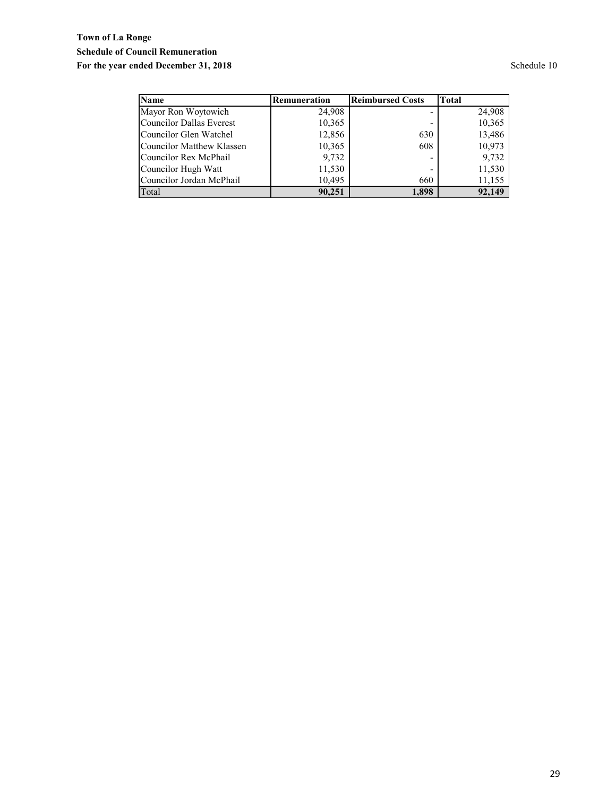## **Town of La Ronge Schedule of Council Remuneration** For the year ended December 31, 2018<br>
Schedule 10

| <b>Name</b>                      | Remuneration | <b>Reimbursed Costs</b> | <b>Total</b> |
|----------------------------------|--------------|-------------------------|--------------|
| Mayor Ron Woytowich              | 24,908       |                         | 24,908       |
| <b>Councilor Dallas Everest</b>  | 10,365       |                         | 10,365       |
| Councilor Glen Watchel           | 12,856       | 630                     | 13,486       |
| <b>Councilor Matthew Klassen</b> | 10,365       | 608                     | 10,973       |
| Councilor Rex McPhail            | 9,732        |                         | 9,732        |
| Councilor Hugh Watt              | 11,530       |                         | 11,530       |
| Councilor Jordan McPhail         | 10,495       | 660                     | 11,155       |
| Total                            | 90,251       | 1.898                   | 92,149       |